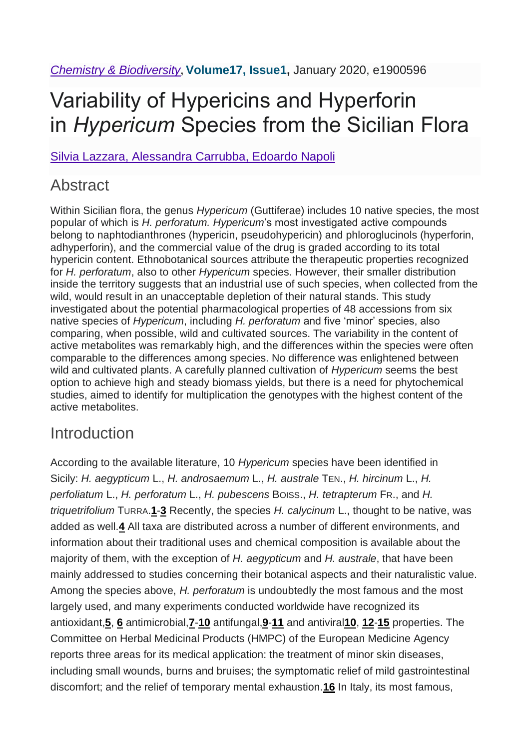# Variability of Hypericins and Hyperforin in *Hypericum* Species from the Sicilian Flora

Silvia Lazzara, Alessandra Carrubba, Edoardo Napoli

### **Abstract**

Within Sicilian flora, the genus *Hypericum* (Guttiferae) includes 10 native species, the most popular of which is *H. perforatum. Hypericum*'s most investigated active compounds belong to naphtodianthrones (hypericin, pseudohypericin) and phloroglucinols (hyperforin, adhyperforin), and the commercial value of the drug is graded according to its total hypericin content. Ethnobotanical sources attribute the therapeutic properties recognized for *H. perforatum*, also to other *Hypericum* species. However, their smaller distribution inside the territory suggests that an industrial use of such species, when collected from the wild, would result in an unacceptable depletion of their natural stands. This study investigated about the potential pharmacological properties of 48 accessions from six native species of *Hypericum*, including *H. perforatum* and five 'minor' species, also comparing, when possible, wild and cultivated sources. The variability in the content of active metabolites was remarkably high, and the differences within the species were often comparable to the differences among species. No difference was enlightened between wild and cultivated plants. A carefully planned cultivation of *Hypericum* seems the best option to achieve high and steady biomass yields, but there is a need for phytochemical studies, aimed to identify for multiplication the genotypes with the highest content of the active metabolites.

### **Introduction**

According to the available literature, 10 *Hypericum* species have been identified in Sicily: *H. aegypticum* L., *H. androsaemum* L., *H. australe* TEN., *H. hircinum* L., *H. perfoliatum* L., *H. perforatum* L., *H. pubescens* BOISS., *H. tetrapterum* FR., and *H. triquetrifolium* TURRA.**[1](https://onlinelibrary.wiley.com/doi/10.1002/cbdv.201900596#cbdv201900596-bib-0001)**-**[3](https://onlinelibrary.wiley.com/doi/10.1002/cbdv.201900596#cbdv201900596-bib-0003)** Recently, the species *H. calycinum* L., thought to be native, was added as well.**[4](https://onlinelibrary.wiley.com/doi/10.1002/cbdv.201900596#cbdv201900596-bib-0004)** All taxa are distributed across a number of different environments, and information about their traditional uses and chemical composition is available about the majority of them, with the exception of *H. aegypticum* and *H. australe*, that have been mainly addressed to studies concerning their botanical aspects and their naturalistic value. Among the species above, *H. perforatum* is undoubtedly the most famous and the most largely used, and many experiments conducted worldwide have recognized its antioxidant,**[5](https://onlinelibrary.wiley.com/doi/10.1002/cbdv.201900596#cbdv201900596-bib-0005)**, **[6](https://onlinelibrary.wiley.com/doi/10.1002/cbdv.201900596#cbdv201900596-bib-0006)** antimicrobial,**[7](https://onlinelibrary.wiley.com/doi/10.1002/cbdv.201900596#cbdv201900596-bib-0007)**-**[10](https://onlinelibrary.wiley.com/doi/10.1002/cbdv.201900596#cbdv201900596-bib-0010)** antifungal,**[9](https://onlinelibrary.wiley.com/doi/10.1002/cbdv.201900596#cbdv201900596-bib-0009)**-**[11](https://onlinelibrary.wiley.com/doi/10.1002/cbdv.201900596#cbdv201900596-bib-0011)** and antiviral**[10](https://onlinelibrary.wiley.com/doi/10.1002/cbdv.201900596#cbdv201900596-bib-0010)**, **[12](https://onlinelibrary.wiley.com/doi/10.1002/cbdv.201900596#cbdv201900596-bib-0012)**-**[15](https://onlinelibrary.wiley.com/doi/10.1002/cbdv.201900596#cbdv201900596-bib-0015)** properties. The Committee on Herbal Medicinal Products (HMPC) of the European Medicine Agency reports three areas for its medical application: the treatment of minor skin diseases, including small wounds, burns and bruises; the symptomatic relief of mild gastrointestinal discomfort; and the relief of temporary mental exhaustion.**[16](https://onlinelibrary.wiley.com/doi/10.1002/cbdv.201900596#cbdv201900596-bib-0016)** In Italy, its most famous,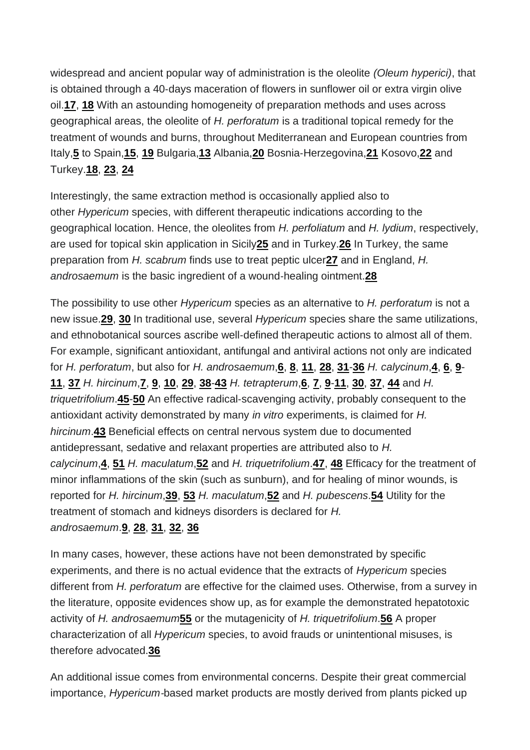widespread and ancient popular way of administration is the oleolite *(Oleum hyperici)*, that is obtained through a 40‐days maceration of flowers in sunflower oil or extra virgin olive oil.**[17](https://onlinelibrary.wiley.com/doi/10.1002/cbdv.201900596#cbdv201900596-bib-0017)**, **[18](https://onlinelibrary.wiley.com/doi/10.1002/cbdv.201900596#cbdv201900596-bib-0018)** With an astounding homogeneity of preparation methods and uses across geographical areas, the oleolite of *H. perforatum* is a traditional topical remedy for the treatment of wounds and burns, throughout Mediterranean and European countries from Italy,**[5](https://onlinelibrary.wiley.com/doi/10.1002/cbdv.201900596#cbdv201900596-bib-0005)** to Spain,**[15](https://onlinelibrary.wiley.com/doi/10.1002/cbdv.201900596#cbdv201900596-bib-0015)**, **[19](https://onlinelibrary.wiley.com/doi/10.1002/cbdv.201900596#cbdv201900596-bib-0019)** Bulgaria,**[13](https://onlinelibrary.wiley.com/doi/10.1002/cbdv.201900596#cbdv201900596-bib-0013)** Albania,**[20](https://onlinelibrary.wiley.com/doi/10.1002/cbdv.201900596#cbdv201900596-bib-0020)** Bosnia‐Herzegovina,**[21](https://onlinelibrary.wiley.com/doi/10.1002/cbdv.201900596#cbdv201900596-bib-0021)** Kosovo,**[22](https://onlinelibrary.wiley.com/doi/10.1002/cbdv.201900596#cbdv201900596-bib-0022)** and Turkey.**[18](https://onlinelibrary.wiley.com/doi/10.1002/cbdv.201900596#cbdv201900596-bib-0018)**, **[23](https://onlinelibrary.wiley.com/doi/10.1002/cbdv.201900596#cbdv201900596-bib-0023)**, **[24](https://onlinelibrary.wiley.com/doi/10.1002/cbdv.201900596#cbdv201900596-bib-0024)**

Interestingly, the same extraction method is occasionally applied also to other *Hypericum* species, with different therapeutic indications according to the geographical location. Hence, the oleolites from *H. perfoliatum* and *H. lydium*, respectively, are used for topical skin application in Sicily**[25](https://onlinelibrary.wiley.com/doi/10.1002/cbdv.201900596#cbdv201900596-bib-0025)** and in Turkey.**[26](https://onlinelibrary.wiley.com/doi/10.1002/cbdv.201900596#cbdv201900596-bib-0026)** In Turkey, the same preparation from *H. scabrum* finds use to treat peptic ulcer**[27](https://onlinelibrary.wiley.com/doi/10.1002/cbdv.201900596#cbdv201900596-bib-0027)** and in England, *H. androsaemum* is the basic ingredient of a wound‐healing ointment.**[28](https://onlinelibrary.wiley.com/doi/10.1002/cbdv.201900596#cbdv201900596-bib-0028)**

The possibility to use other *Hypericum* species as an alternative to *H. perforatum* is not a new issue.**[29](https://onlinelibrary.wiley.com/doi/10.1002/cbdv.201900596#cbdv201900596-bib-0029)**, **[30](https://onlinelibrary.wiley.com/doi/10.1002/cbdv.201900596#cbdv201900596-bib-0030)** In traditional use, several *Hypericum* species share the same utilizations, and ethnobotanical sources ascribe well‐defined therapeutic actions to almost all of them. For example, significant antioxidant, antifungal and antiviral actions not only are indicated for *H. perforatum*, but also for *H. androsaemum*,**[6](https://onlinelibrary.wiley.com/doi/10.1002/cbdv.201900596#cbdv201900596-bib-0006)**, **[8](https://onlinelibrary.wiley.com/doi/10.1002/cbdv.201900596#cbdv201900596-bib-0008)**, **[11](https://onlinelibrary.wiley.com/doi/10.1002/cbdv.201900596#cbdv201900596-bib-0011)**, **[28](https://onlinelibrary.wiley.com/doi/10.1002/cbdv.201900596#cbdv201900596-bib-0028)**, **[31](https://onlinelibrary.wiley.com/doi/10.1002/cbdv.201900596#cbdv201900596-bib-0031)**-**[36](https://onlinelibrary.wiley.com/doi/10.1002/cbdv.201900596#cbdv201900596-bib-0036)** *H. calycinum*,**[4](https://onlinelibrary.wiley.com/doi/10.1002/cbdv.201900596#cbdv201900596-bib-0004)**, **[6](https://onlinelibrary.wiley.com/doi/10.1002/cbdv.201900596#cbdv201900596-bib-0006)**, **[9](https://onlinelibrary.wiley.com/doi/10.1002/cbdv.201900596#cbdv201900596-bib-0009)**- **[11](https://onlinelibrary.wiley.com/doi/10.1002/cbdv.201900596#cbdv201900596-bib-0011)**, **[37](https://onlinelibrary.wiley.com/doi/10.1002/cbdv.201900596#cbdv201900596-bib-0037)** *H. hircinum*,**[7](https://onlinelibrary.wiley.com/doi/10.1002/cbdv.201900596#cbdv201900596-bib-0007)**, **[9](https://onlinelibrary.wiley.com/doi/10.1002/cbdv.201900596#cbdv201900596-bib-0009)**, **[10](https://onlinelibrary.wiley.com/doi/10.1002/cbdv.201900596#cbdv201900596-bib-0010)**, **[29](https://onlinelibrary.wiley.com/doi/10.1002/cbdv.201900596#cbdv201900596-bib-0029)**, **[38](https://onlinelibrary.wiley.com/doi/10.1002/cbdv.201900596#cbdv201900596-bib-0038)**-**[43](https://onlinelibrary.wiley.com/doi/10.1002/cbdv.201900596#cbdv201900596-bib-0043)** *H. tetrapterum*,**[6](https://onlinelibrary.wiley.com/doi/10.1002/cbdv.201900596#cbdv201900596-bib-0006)**, **[7](https://onlinelibrary.wiley.com/doi/10.1002/cbdv.201900596#cbdv201900596-bib-0007)**, **[9](https://onlinelibrary.wiley.com/doi/10.1002/cbdv.201900596#cbdv201900596-bib-0009)**-**[11](https://onlinelibrary.wiley.com/doi/10.1002/cbdv.201900596#cbdv201900596-bib-0011)**, **[30](https://onlinelibrary.wiley.com/doi/10.1002/cbdv.201900596#cbdv201900596-bib-0030)**, **[37](https://onlinelibrary.wiley.com/doi/10.1002/cbdv.201900596#cbdv201900596-bib-0037)**, **[44](https://onlinelibrary.wiley.com/doi/10.1002/cbdv.201900596#cbdv201900596-bib-0044)** and *H. triquetrifolium*.**[45](https://onlinelibrary.wiley.com/doi/10.1002/cbdv.201900596#cbdv201900596-bib-0045)**-**[50](https://onlinelibrary.wiley.com/doi/10.1002/cbdv.201900596#cbdv201900596-bib-0050)** An effective radical‐scavenging activity, probably consequent to the antioxidant activity demonstrated by many *in vitro* experiments, is claimed for *H. hircinum*.**[43](https://onlinelibrary.wiley.com/doi/10.1002/cbdv.201900596#cbdv201900596-bib-0043)** Beneficial effects on central nervous system due to documented antidepressant, sedative and relaxant properties are attributed also to *H. calycinum*,**[4](https://onlinelibrary.wiley.com/doi/10.1002/cbdv.201900596#cbdv201900596-bib-0004)**, **[51](https://onlinelibrary.wiley.com/doi/10.1002/cbdv.201900596#cbdv201900596-bib-0051)** *H. maculatum*,**[52](https://onlinelibrary.wiley.com/doi/10.1002/cbdv.201900596#cbdv201900596-bib-0052)** and *H. triquetrifolium*.**[47](https://onlinelibrary.wiley.com/doi/10.1002/cbdv.201900596#cbdv201900596-bib-0047)**, **[48](https://onlinelibrary.wiley.com/doi/10.1002/cbdv.201900596#cbdv201900596-bib-0048)** Efficacy for the treatment of minor inflammations of the skin (such as sunburn), and for healing of minor wounds, is reported for *H. hircinum*,**[39](https://onlinelibrary.wiley.com/doi/10.1002/cbdv.201900596#cbdv201900596-bib-0039)**, **[53](https://onlinelibrary.wiley.com/doi/10.1002/cbdv.201900596#cbdv201900596-bib-0053)** *H. maculatum*,**[52](https://onlinelibrary.wiley.com/doi/10.1002/cbdv.201900596#cbdv201900596-bib-0052)** and *H. pubescens*.**[54](https://onlinelibrary.wiley.com/doi/10.1002/cbdv.201900596#cbdv201900596-bib-0054)** Utility for the treatment of stomach and kidneys disorders is declared for *H.* 

#### *androsaemum*.**[9](https://onlinelibrary.wiley.com/doi/10.1002/cbdv.201900596#cbdv201900596-bib-0009)**, **[28](https://onlinelibrary.wiley.com/doi/10.1002/cbdv.201900596#cbdv201900596-bib-0028)**, **[31](https://onlinelibrary.wiley.com/doi/10.1002/cbdv.201900596#cbdv201900596-bib-0031)**, **[32](https://onlinelibrary.wiley.com/doi/10.1002/cbdv.201900596#cbdv201900596-bib-0032)**, **[36](https://onlinelibrary.wiley.com/doi/10.1002/cbdv.201900596#cbdv201900596-bib-0036)**

In many cases, however, these actions have not been demonstrated by specific experiments, and there is no actual evidence that the extracts of *Hypericum* species different from *H. perforatum* are effective for the claimed uses. Otherwise, from a survey in the literature, opposite evidences show up, as for example the demonstrated hepatotoxic activity of *H. androsaemum***[55](https://onlinelibrary.wiley.com/doi/10.1002/cbdv.201900596#cbdv201900596-bib-0055)** or the mutagenicity of *H. triquetrifolium*.**[56](https://onlinelibrary.wiley.com/doi/10.1002/cbdv.201900596#cbdv201900596-bib-0056)** A proper characterization of all *Hypericum* species, to avoid frauds or unintentional misuses, is therefore advocated.**[36](https://onlinelibrary.wiley.com/doi/10.1002/cbdv.201900596#cbdv201900596-bib-0036)**

An additional issue comes from environmental concerns. Despite their great commercial importance, *Hypericum*-based market products are mostly derived from plants picked up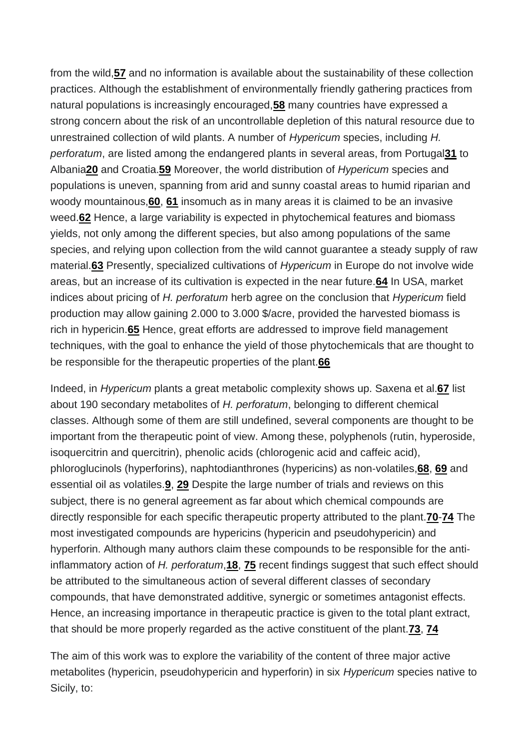from the wild,**[57](https://onlinelibrary.wiley.com/doi/10.1002/cbdv.201900596#cbdv201900596-bib-0057)** and no information is available about the sustainability of these collection practices. Although the establishment of environmentally friendly gathering practices from natural populations is increasingly encouraged,**[58](https://onlinelibrary.wiley.com/doi/10.1002/cbdv.201900596#cbdv201900596-bib-0058)** many countries have expressed a strong concern about the risk of an uncontrollable depletion of this natural resource due to unrestrained collection of wild plants. A number of *Hypericum* species, including *H. perforatum*, are listed among the endangered plants in several areas, from Portugal**[31](https://onlinelibrary.wiley.com/doi/10.1002/cbdv.201900596#cbdv201900596-bib-0031)** to Albania**[20](https://onlinelibrary.wiley.com/doi/10.1002/cbdv.201900596#cbdv201900596-bib-0020)** and Croatia.**[59](https://onlinelibrary.wiley.com/doi/10.1002/cbdv.201900596#cbdv201900596-bib-0059)** Moreover, the world distribution of *Hypericum* species and populations is uneven, spanning from arid and sunny coastal areas to humid riparian and woody mountainous,**[60](https://onlinelibrary.wiley.com/doi/10.1002/cbdv.201900596#cbdv201900596-bib-0060)**, **[61](https://onlinelibrary.wiley.com/doi/10.1002/cbdv.201900596#cbdv201900596-bib-0061)** insomuch as in many areas it is claimed to be an invasive weed.**[62](https://onlinelibrary.wiley.com/doi/10.1002/cbdv.201900596#cbdv201900596-bib-0062)** Hence, a large variability is expected in phytochemical features and biomass yields, not only among the different species, but also among populations of the same species, and relying upon collection from the wild cannot guarantee a steady supply of raw material.**[63](https://onlinelibrary.wiley.com/doi/10.1002/cbdv.201900596#cbdv201900596-bib-0063)** Presently, specialized cultivations of *Hypericum* in Europe do not involve wide areas, but an increase of its cultivation is expected in the near future.**[64](https://onlinelibrary.wiley.com/doi/10.1002/cbdv.201900596#cbdv201900596-bib-0064)** In USA, market indices about pricing of *H. perforatum* herb agree on the conclusion that *Hypericum* field production may allow gaining 2.000 to 3.000 \$/acre, provided the harvested biomass is rich in hypericin.**[65](https://onlinelibrary.wiley.com/doi/10.1002/cbdv.201900596#cbdv201900596-bib-0065)** Hence, great efforts are addressed to improve field management techniques, with the goal to enhance the yield of those phytochemicals that are thought to be responsible for the therapeutic properties of the plant.**[66](https://onlinelibrary.wiley.com/doi/10.1002/cbdv.201900596#cbdv201900596-bib-0066)**

Indeed, in *Hypericum* plants a great metabolic complexity shows up. Saxena et al.**[67](https://onlinelibrary.wiley.com/doi/10.1002/cbdv.201900596#cbdv201900596-bib-0067)** list about 190 secondary metabolites of *H. perforatum*, belonging to different chemical classes. Although some of them are still undefined, several components are thought to be important from the therapeutic point of view. Among these, polyphenols (rutin, hyperoside, isoquercitrin and quercitrin), phenolic acids (chlorogenic acid and caffeic acid), phloroglucinols (hyperforins), naphtodianthrones (hypericins) as non‐volatiles,**[68](https://onlinelibrary.wiley.com/doi/10.1002/cbdv.201900596#cbdv201900596-bib-0068)**, **[69](https://onlinelibrary.wiley.com/doi/10.1002/cbdv.201900596#cbdv201900596-bib-0069)** and essential oil as volatiles.**[9](https://onlinelibrary.wiley.com/doi/10.1002/cbdv.201900596#cbdv201900596-bib-0009)**, **[29](https://onlinelibrary.wiley.com/doi/10.1002/cbdv.201900596#cbdv201900596-bib-0029)** Despite the large number of trials and reviews on this subject, there is no general agreement as far about which chemical compounds are directly responsible for each specific therapeutic property attributed to the plant.**[70](https://onlinelibrary.wiley.com/doi/10.1002/cbdv.201900596#cbdv201900596-bib-0070)**-**[74](https://onlinelibrary.wiley.com/doi/10.1002/cbdv.201900596#cbdv201900596-bib-0074)** The most investigated compounds are hypericins (hypericin and pseudohypericin) and hyperforin. Although many authors claim these compounds to be responsible for the anti‐ inflammatory action of *H. perforatum*,**[18](https://onlinelibrary.wiley.com/doi/10.1002/cbdv.201900596#cbdv201900596-bib-0018)**, **[75](https://onlinelibrary.wiley.com/doi/10.1002/cbdv.201900596#cbdv201900596-bib-0075)** recent findings suggest that such effect should be attributed to the simultaneous action of several different classes of secondary compounds, that have demonstrated additive, synergic or sometimes antagonist effects. Hence, an increasing importance in therapeutic practice is given to the total plant extract, that should be more properly regarded as the active constituent of the plant.**[73](https://onlinelibrary.wiley.com/doi/10.1002/cbdv.201900596#cbdv201900596-bib-0073)**, **[74](https://onlinelibrary.wiley.com/doi/10.1002/cbdv.201900596#cbdv201900596-bib-0074)**

The aim of this work was to explore the variability of the content of three major active metabolites (hypericin, pseudohypericin and hyperforin) in six *Hypericum* species native to Sicily, to: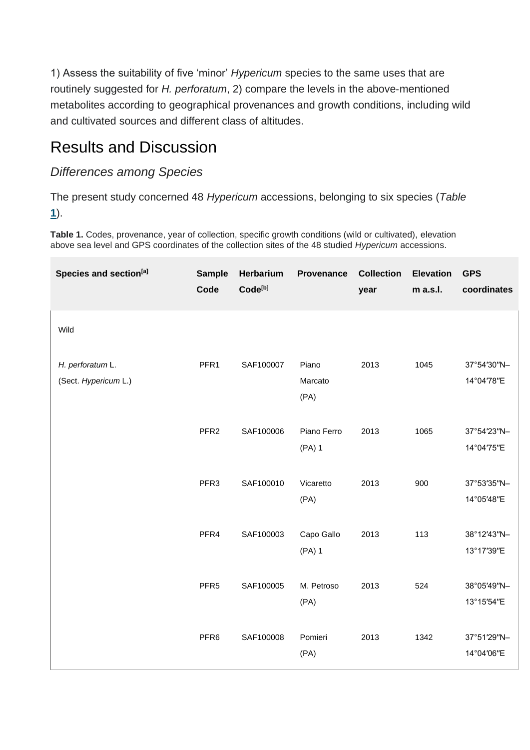1) Assess the suitability of five 'minor' *Hypericum* species to the same uses that are routinely suggested for *H. perforatum*, 2) compare the levels in the above-mentioned metabolites according to geographical provenances and growth conditions, including wild and cultivated sources and different class of altitudes.

### Results and Discussion

#### *Differences among Species*

The present study concerned 48 *Hypericum* accessions, belonging to six species (*Table* **1**).

**Table 1.** Codes, provenance, year of collection, specific growth conditions (wild or cultivated), elevation above sea level and GPS coordinates of the collection sites of the 48 studied *Hypericum* accessions.

| Species and section <sup>[a]</sup>       | <b>Sample</b><br>Code | Herbarium<br>Code <sup>[b]</sup> | <b>Provenance</b>        | <b>Collection</b><br>year | <b>Elevation</b><br>m a.s.l. | <b>GPS</b><br>coordinates |
|------------------------------------------|-----------------------|----------------------------------|--------------------------|---------------------------|------------------------------|---------------------------|
| Wild                                     |                       |                                  |                          |                           |                              |                           |
| H. perforatum L.<br>(Sect. Hypericum L.) | PFR1                  | SAF100007                        | Piano<br>Marcato<br>(PA) | 2013                      | 1045                         | 37°54'30"N-<br>14°04'78"E |
|                                          | PFR <sub>2</sub>      | SAF100006                        | Piano Ferro<br>(PA) 1    | 2013                      | 1065                         | 37°54'23"N-<br>14°04'75"E |
|                                          | PFR <sub>3</sub>      | SAF100010                        | Vicaretto<br>(PA)        | 2013                      | 900                          | 37°53'35"N-<br>14°05'48"E |
|                                          | PFR4                  | SAF100003                        | Capo Gallo<br>$(PA)$ 1   | 2013                      | 113                          | 38°12'43"N-<br>13°17'39"E |
|                                          | PFR <sub>5</sub>      | SAF100005                        | M. Petroso<br>(PA)       | 2013                      | 524                          | 38°05'49"N-<br>13°15'54"E |
|                                          | PFR <sub>6</sub>      | SAF100008                        | Pomieri<br>(PA)          | 2013                      | 1342                         | 37°51'29"N-<br>14°04'06"E |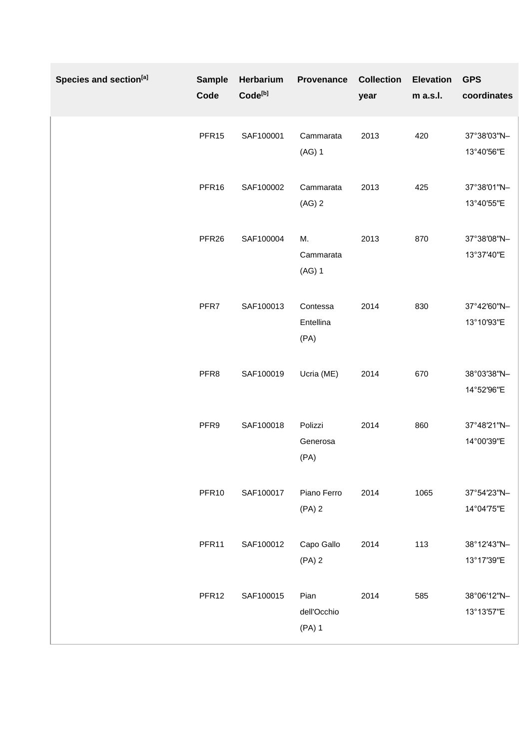| Species and section <sup>[a]</sup> | <b>Sample</b><br>Code | Herbarium<br>Code <sup>[b]</sup> | Provenance                    | <b>Collection</b><br>year | <b>Elevation</b><br>m a.s.l. | <b>GPS</b><br>coordinates |
|------------------------------------|-----------------------|----------------------------------|-------------------------------|---------------------------|------------------------------|---------------------------|
|                                    | PFR <sub>15</sub>     | SAF100001                        | Cammarata<br>$(AG)$ 1         | 2013                      | 420                          | 37°38'03"N-<br>13°40'56"E |
|                                    | PFR16                 | SAF100002                        | Cammarata<br>$(AG)$ 2         | 2013                      | 425                          | 37°38'01"N-<br>13°40'55"E |
|                                    | PFR <sub>26</sub>     | SAF100004                        | М.<br>Cammarata<br>$(AG)$ 1   | 2013                      | 870                          | 37°38'08"N-<br>13°37'40"E |
|                                    | PFR7                  | SAF100013                        | Contessa<br>Entellina<br>(PA) | 2014                      | 830                          | 37°42'60"N-<br>13°10'93"E |
|                                    | PFR8                  | SAF100019                        | Ucria (ME)                    | 2014                      | 670                          | 38°03'38"N-<br>14°52'96"E |
|                                    | PFR9                  | SAF100018                        | Polizzi<br>Generosa<br>(PA)   | 2014                      | 860                          | 37°48'21"N-<br>14°00'39"E |
|                                    | PFR <sub>10</sub>     | SAF100017                        | Piano Ferro<br>$(PA)$ 2       | 2014                      | 1065                         | 37°54'23"N-<br>14°04'75"E |
|                                    | PFR11                 | SAF100012                        | Capo Gallo<br>$(PA)$ 2        | 2014                      | 113                          | 38°12'43"N-<br>13°17'39"E |
|                                    | PFR <sub>12</sub>     | SAF100015                        | Pian<br>dell'Occhio<br>(PA) 1 | 2014                      | 585                          | 38°06'12"N-<br>13°13'57"E |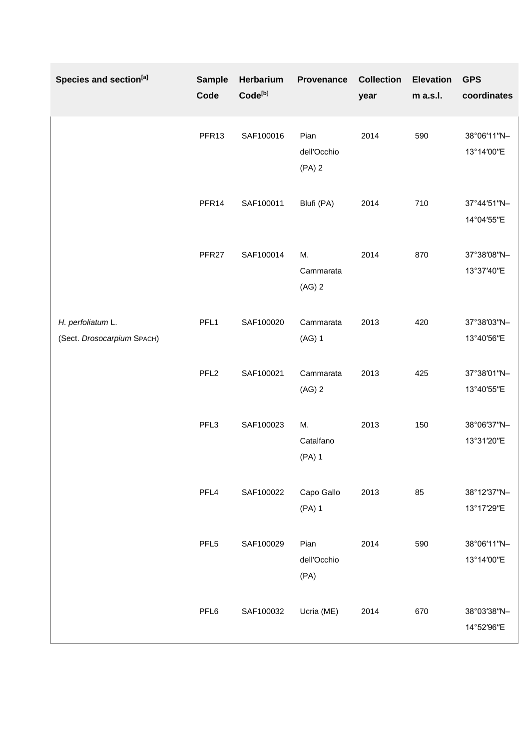| Species and section <sup>[a]</sup>              | <b>Sample</b><br>Code | Herbarium<br>Code <sup>[b]</sup> | Provenance                      | <b>Collection</b><br>year | <b>Elevation</b><br>m a.s.l. | <b>GPS</b><br>coordinates |
|-------------------------------------------------|-----------------------|----------------------------------|---------------------------------|---------------------------|------------------------------|---------------------------|
|                                                 | PFR13                 | SAF100016                        | Pian<br>dell'Occhio<br>$(PA)$ 2 | 2014                      | 590                          | 38°06'11"N-<br>13°14'00"E |
|                                                 | PFR14                 | SAF100011                        | Blufi (PA)                      | 2014                      | 710                          | 37°44'51"N-<br>14°04'55"E |
|                                                 | PFR <sub>27</sub>     | SAF100014                        | М.<br>Cammarata<br>$(AG)$ 2     | 2014                      | 870                          | 37°38'08"N-<br>13°37'40"E |
| H. perfoliatum L.<br>(Sect. Drosocarpium SPACH) | PFL1                  | SAF100020                        | Cammarata<br>(AG) 1             | 2013                      | 420                          | 37°38'03"N-<br>13°40'56"E |
|                                                 | PFL <sub>2</sub>      | SAF100021                        | Cammarata<br>$(AG)$ 2           | 2013                      | 425                          | 37°38'01"N-<br>13°40'55"E |
|                                                 | PFL3                  | SAF100023                        | М.<br>Catalfano<br>(PA) 1       | 2013                      | 150                          | 38°06'37"N-<br>13°31'20"E |
|                                                 | PFL4                  | SAF100022                        | Capo Gallo<br>(PA) 1            | 2013                      | 85                           | 38°12'37"N-<br>13°17'29"E |
|                                                 | PFL <sub>5</sub>      | SAF100029                        | Pian<br>dell'Occhio<br>(PA)     | 2014                      | 590                          | 38°06'11"N-<br>13°14'00"E |
|                                                 | PFL6                  | SAF100032                        | Ucria (ME)                      | 2014                      | 670                          | 38°03'38"N-<br>14°52'96"E |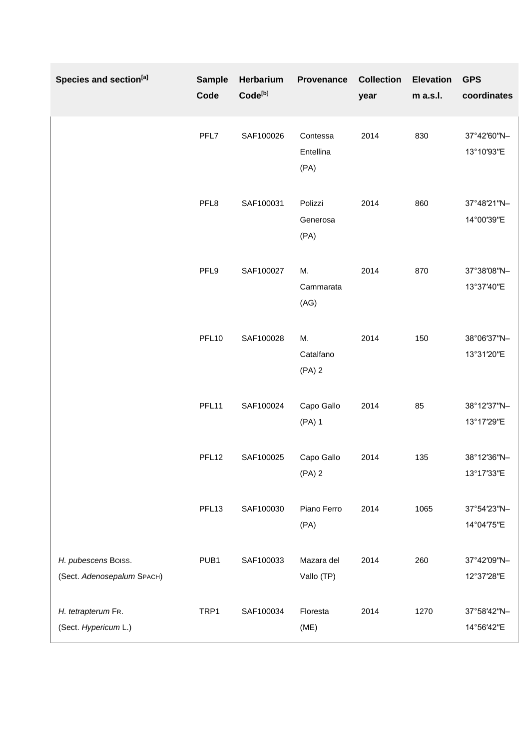| Species and section <sup>[a]</sup>                | <b>Sample</b><br>Code | Herbarium<br>Code <sup>[b]</sup> | <b>Provenance</b>             | <b>Collection</b><br>year | <b>Elevation</b><br>m a.s.l. | <b>GPS</b><br>coordinates |
|---------------------------------------------------|-----------------------|----------------------------------|-------------------------------|---------------------------|------------------------------|---------------------------|
|                                                   | PFL7                  | SAF100026                        | Contessa<br>Entellina<br>(PA) | 2014                      | 830                          | 37°42'60"N-<br>13°10'93"E |
|                                                   | PFL8                  | SAF100031                        | Polizzi<br>Generosa<br>(PA)   | 2014                      | 860                          | 37°48'21"N-<br>14°00'39"E |
|                                                   | PFL9                  | SAF100027                        | М.<br>Cammarata<br>(AG)       | 2014                      | 870                          | 37°38'08"N-<br>13°37'40"E |
|                                                   | PFL <sub>10</sub>     | SAF100028                        | М.<br>Catalfano<br>$(PA)$ 2   | 2014                      | 150                          | 38°06'37"N-<br>13°31'20"E |
|                                                   | PFL11                 | SAF100024                        | Capo Gallo<br>$(PA)$ 1        | 2014                      | 85                           | 38°12'37"N-<br>13°17'29"E |
|                                                   | PFL <sub>12</sub>     | SAF100025                        | Capo Gallo<br>$(PA)$ 2        | 2014                      | 135                          | 38°12'36"N-<br>13°17'33"E |
|                                                   | PFL <sub>13</sub>     | SAF100030                        | Piano Ferro<br>(PA)           | 2014                      | 1065                         | 37°54'23"N-<br>14°04'75"E |
| H. pubescens Boiss.<br>(Sect. Adenosepalum SPACH) | PUB1                  | SAF100033                        | Mazara del<br>Vallo (TP)      | 2014                      | 260                          | 37°42'09"N-<br>12°37'28"E |
| H. tetrapterum FR.<br>(Sect. Hypericum L.)        | TRP1                  | SAF100034                        | Floresta<br>(ME)              | 2014                      | 1270                         | 37°58'42"N-<br>14°56'42"E |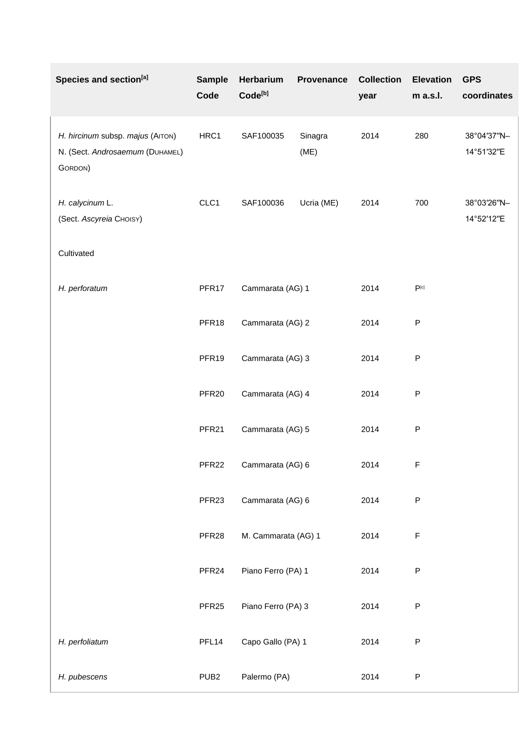| Species and section <sup>[a]</sup>                                             | <b>Sample</b><br>Code | Herbarium<br>Code <sup>[b]</sup> | Provenance      | <b>Collection</b><br>year | <b>Elevation</b><br>m a.s.l. | <b>GPS</b><br>coordinates |
|--------------------------------------------------------------------------------|-----------------------|----------------------------------|-----------------|---------------------------|------------------------------|---------------------------|
| H. hircinum subsp. majus (AITON)<br>N. (Sect. Androsaemum (DUHAMEL)<br>GORDON) | HRC1                  | SAF100035                        | Sinagra<br>(ME) | 2014                      | 280                          | 38°04'37"N-<br>14°51'32"E |
| H. calycinum L.<br>(Sect. Ascyreia CHOISY)                                     | CLC1                  | SAF100036                        | Ucria (ME)      | 2014                      | 700                          | 38°03'26"N-<br>14°52'12"E |
| Cultivated                                                                     |                       |                                  |                 |                           |                              |                           |
| H. perforatum                                                                  | PFR17                 | Cammarata (AG) 1                 |                 | 2014                      | $\mathsf{P}^{\text{[c]}}$    |                           |
|                                                                                | PFR18                 | Cammarata (AG) 2                 |                 | 2014                      | P                            |                           |
|                                                                                | PFR19                 | Cammarata (AG) 3                 |                 | 2014                      | ${\sf P}$                    |                           |
|                                                                                | PFR <sub>20</sub>     | Cammarata (AG) 4                 |                 | 2014                      | ${\sf P}$                    |                           |
|                                                                                | PFR <sub>21</sub>     | Cammarata (AG) 5                 |                 | 2014                      | P                            |                           |
|                                                                                | PFR <sub>22</sub>     | Cammarata (AG) 6                 |                 | 2014                      | $\mathsf F$                  |                           |
|                                                                                | PFR <sub>23</sub>     | Cammarata (AG) 6                 |                 | 2014                      | ${\sf P}$                    |                           |
|                                                                                | PFR <sub>28</sub>     | M. Cammarata (AG) 1              |                 | 2014                      | $\mathsf F$                  |                           |
|                                                                                | PFR <sub>24</sub>     | Piano Ferro (PA) 1               |                 | 2014                      | ${\sf P}$                    |                           |
|                                                                                | PFR <sub>25</sub>     | Piano Ferro (PA) 3               |                 | 2014                      | ${\sf P}$                    |                           |
| H. perfoliatum                                                                 | PFL <sub>14</sub>     | Capo Gallo (PA) 1                |                 | 2014                      | ${\sf P}$                    |                           |
| H. pubescens                                                                   | PUB <sub>2</sub>      | Palermo (PA)                     |                 | 2014                      | ${\sf P}$                    |                           |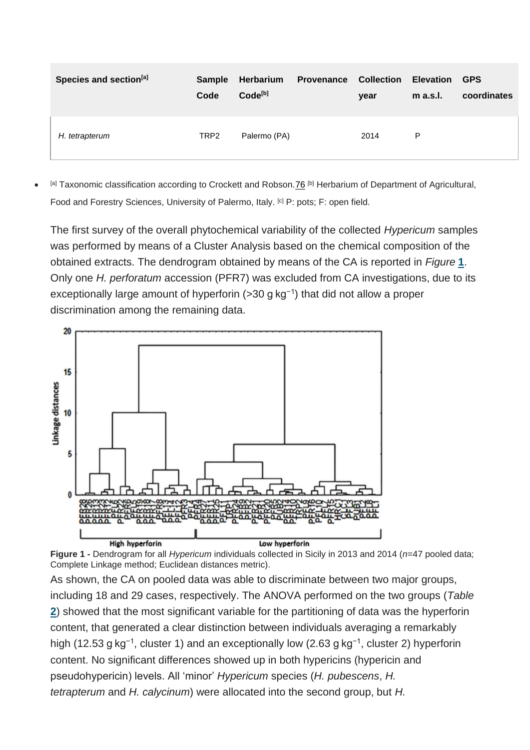| Species and section <sup>[a]</sup> | <b>Sample</b><br>Code | Herbarium<br>Code <sup>[b]</sup> | <b>Provenance</b> | <b>Collection</b><br>year | <b>Elevation</b><br>$m$ a.s.l. | <b>GPS</b><br>coordinates |
|------------------------------------|-----------------------|----------------------------------|-------------------|---------------------------|--------------------------------|---------------------------|
| H. tetrapterum                     | TRP <sub>2</sub>      | Palermo (PA)                     |                   | 2014                      | P                              |                           |

• [a] Taxonomic classification according to Crockett and Robson[.76](https://onlinelibrary.wiley.com/doi/10.1002/cbdv.201900596#cbdv201900596-bib-0076) [b] Herbarium of Department of Agricultural, Food and Forestry Sciences, University of Palermo, Italy. <sup>[c]</sup> P: pots; F: open field.

The first survey of the overall phytochemical variability of the collected *Hypericum* samples was performed by means of a Cluster Analysis based on the chemical composition of the obtained extracts. The dendrogram obtained by means of the CA is reported in *Figure* **1**. Only one *H. perforatum* accession (PFR7) was excluded from CA investigations, due to its exceptionally large amount of hyperforin (>30 g kg−1) that did not allow a proper discrimination among the remaining data.



**Figure 1 -** Dendrogram for all *Hypericum* individuals collected in Sicily in 2013 and 2014 (*n*=47 pooled data; Complete Linkage method; Euclidean distances metric).

As shown, the CA on pooled data was able to discriminate between two major groups, including 18 and 29 cases, respectively. The ANOVA performed on the two groups (*Table* **2**) showed that the most significant variable for the partitioning of data was the hyperforin content, that generated a clear distinction between individuals averaging a remarkably high (12.53 g kg<sup>-1</sup>, cluster 1) and an exceptionally low (2.63 g kg<sup>-1</sup>, cluster 2) hyperforin content. No significant differences showed up in both hypericins (hypericin and pseudohypericin) levels. All 'minor' *Hypericum* species (*H. pubescens*, *H. tetrapterum* and *H. calycinum*) were allocated into the second group, but *H.*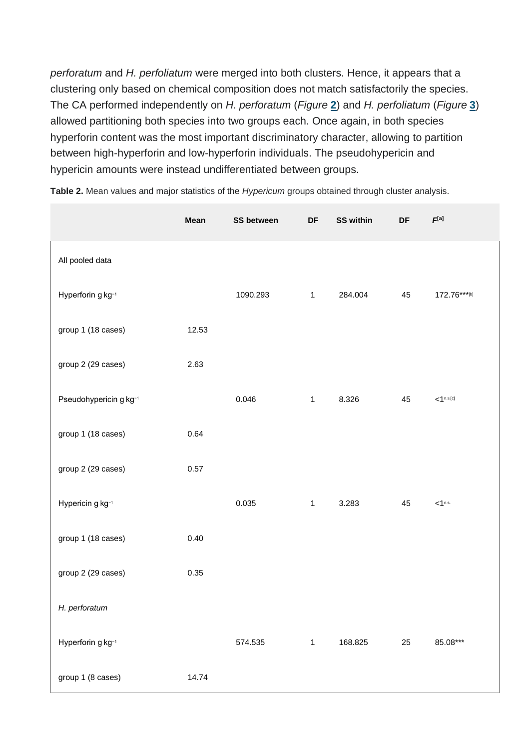*perforatum* and *H. perfoliatum* were merged into both clusters. Hence, it appears that a clustering only based on chemical composition does not match satisfactorily the species. The CA performed independently on *H. perforatum* (*Figure* **2**) and *H. perfoliatum* (*Figure* **3**) allowed partitioning both species into two groups each. Once again, in both species hyperforin content was the most important discriminatory character, allowing to partition between high‐hyperforin and low‐hyperforin individuals. The pseudohypericin and hypericin amounts were instead undifferentiated between groups.

|                        | Mean  | <b>SS between</b> | $\mathsf{D}\mathsf{F}$ | <b>SS within</b> | DF | $F^{[a]}$                     |
|------------------------|-------|-------------------|------------------------|------------------|----|-------------------------------|
| All pooled data        |       |                   |                        |                  |    |                               |
| Hyperforin g kg-1      |       | 1090.293          | $\mathbf{1}$           | 284.004          | 45 | 172.76***[b]                  |
| group 1 (18 cases)     | 12.53 |                   |                        |                  |    |                               |
| group 2 (29 cases)     | 2.63  |                   |                        |                  |    |                               |
| Pseudohypericin g kg-1 |       | 0.046             | $\mathbf{1}$           | 8.326            | 45 | $< 1^{\text{n.s.}[\text{c}]}$ |
| group 1 (18 cases)     | 0.64  |                   |                        |                  |    |                               |
| group 2 (29 cases)     | 0.57  |                   |                        |                  |    |                               |
| Hypericin g kg-1       |       | 0.035             | $\mathbf{1}$           | 3.283            | 45 | $<$ 1 <sup>n.s.</sup>         |
| group 1 (18 cases)     | 0.40  |                   |                        |                  |    |                               |
| group 2 (29 cases)     | 0.35  |                   |                        |                  |    |                               |
| H. perforatum          |       |                   |                        |                  |    |                               |
| Hyperforin g kg-1      |       | 574.535           | $\mathbf{1}$           | 168.825          | 25 | 85.08***                      |
| group 1 (8 cases)      | 14.74 |                   |                        |                  |    |                               |

**Table 2.** Mean values and major statistics of the *Hypericum* groups obtained through cluster analysis.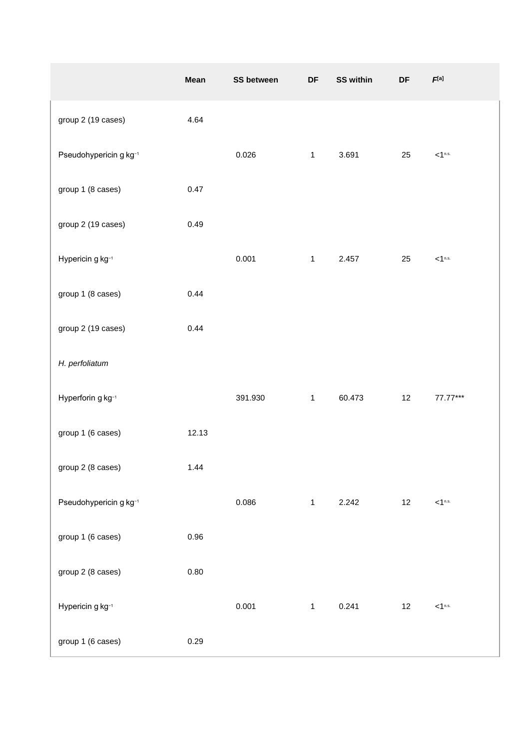|                        | Mean  | <b>SS between</b> | DF           | <b>SS within</b> | DF | $\pmb{F}^{[a]}$       |
|------------------------|-------|-------------------|--------------|------------------|----|-----------------------|
| group 2 (19 cases)     | 4.64  |                   |              |                  |    |                       |
| Pseudohypericin g kg-1 |       | 0.026             | $\mathbf{1}$ | 3.691            | 25 | $<$ 1 <sup>n.s.</sup> |
| group 1 (8 cases)      | 0.47  |                   |              |                  |    |                       |
| group 2 (19 cases)     | 0.49  |                   |              |                  |    |                       |
| Hypericin g kg-1       |       | 0.001             | $\mathbf{1}$ | 2.457            | 25 | $<$ 1 <sup>n.s.</sup> |
| group 1 (8 cases)      | 0.44  |                   |              |                  |    |                       |
| group 2 (19 cases)     | 0.44  |                   |              |                  |    |                       |
| H. perfoliatum         |       |                   |              |                  |    |                       |
| Hyperforin g kg-1      |       | 391.930           | $\mathbf{1}$ | 60.473           | 12 | 77.77***              |
| group 1 (6 cases)      | 12.13 |                   |              |                  |    |                       |
| group 2 (8 cases)      | 1.44  |                   |              |                  |    |                       |
| Pseudohypericin g kg-1 |       | 0.086             | $\mathbf{1}$ | 2.242            | 12 | $<$ 1 <sup>n.s.</sup> |
| group 1 (6 cases)      | 0.96  |                   |              |                  |    |                       |
| group 2 (8 cases)      | 0.80  |                   |              |                  |    |                       |
| Hypericin g kg-1       |       | 0.001             | $\mathbf{1}$ | 0.241            | 12 | $<$ 1 <sup>n.s.</sup> |
| group 1 (6 cases)      | 0.29  |                   |              |                  |    |                       |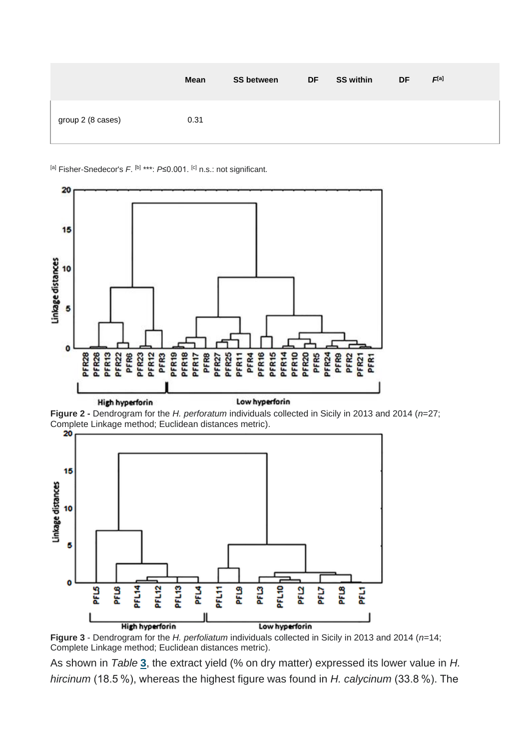|                   | Mean | <b>SS between</b> | <b>DF</b> | <b>SS within</b> | <b>DF</b> | F <sup>[a]</sup> |
|-------------------|------|-------------------|-----------|------------------|-----------|------------------|
| group 2 (8 cases) | 0.31 |                   |           |                  |           |                  |

<sup>[a]</sup> Fisher-Snedecor's F. <sup>[b]</sup> \*\*\*: P≤0.001. <sup>[c]</sup> n.s.: not significant.







**Figure 3** - Dendrogram for the *H. perfoliatum* individuals collected in Sicily in 2013 and 2014 (*n*=14; Complete Linkage method; Euclidean distances metric).

As shown in *Table* **3**, the extract yield (% on dry matter) expressed its lower value in *H. hircinum* (18.5 %), whereas the highest figure was found in *H. calycinum* (33.8 %). The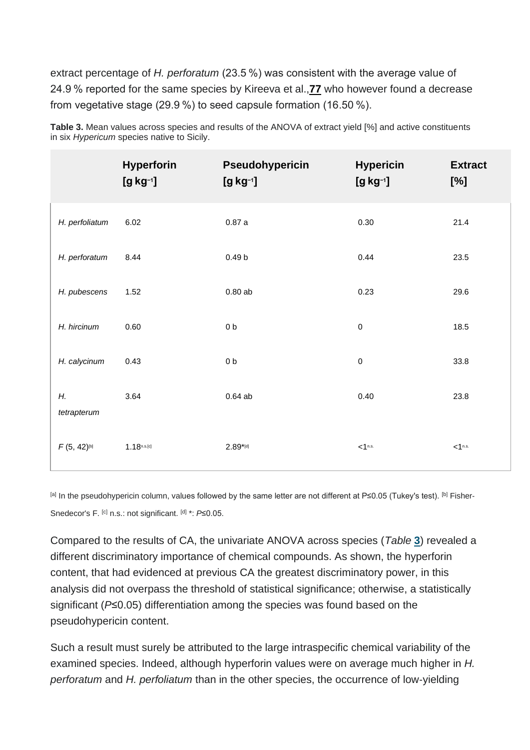extract percentage of *H. perforatum* (23.5 %) was consistent with the average value of 24.9 % reported for the same species by Kireeva et al.,**[77](https://onlinelibrary.wiley.com/doi/10.1002/cbdv.201900596#cbdv201900596-bib-0077)** who however found a decrease from vegetative stage (29.9 %) to seed capsule formation (16.50 %).

|                   | <b>Hyperforin</b><br>$[g kg^{-1}]$ | Pseudohypericin<br>$[g kg^{-1}]$ | <b>Hypericin</b><br>$[g kg^{-1}]$ | <b>Extract</b><br>$[\%]$ |
|-------------------|------------------------------------|----------------------------------|-----------------------------------|--------------------------|
| H. perfoliatum    | 6.02                               | 0.87a                            | 0.30                              | 21.4                     |
| H. perforatum     | 8.44                               | 0.49 <sub>b</sub>                | 0.44                              | 23.5                     |
| H. pubescens      | 1.52                               | 0.80ab                           | 0.23                              | 29.6                     |
| H. hircinum       | 0.60                               | 0 <sub>b</sub>                   | $\mathbf 0$                       | 18.5                     |
| H. calycinum      | 0.43                               | 0 <sub>b</sub>                   | $\mathsf 0$                       | 33.8                     |
| Н.<br>tetrapterum | 3.64                               | $0.64$ ab                        | 0.40                              | 23.8                     |
| $F(5, 42)^{[b]}$  | $1.18^{n.s.[c]}$                   | $2.89*$ [d]                      | < 1 <sup>n.s.</sup>               | $<$ 1 <sup>n.s.</sup>    |

**Table 3.** Mean values across species and results of the ANOVA of extract yield [%] and active constituents in six *Hypericum* species native to Sicily.

[a] In the pseudohypericin column, values followed by the same letter are not different at P≤0.05 (Tukey's test). [b] Fisher-Snedecor's F. [c] n.s.: not significant. [d] \*: *P*≤0.05.

Compared to the results of CA, the univariate ANOVA across species (*Table* **3**) revealed a different discriminatory importance of chemical compounds. As shown, the hyperforin content, that had evidenced at previous CA the greatest discriminatory power, in this analysis did not overpass the threshold of statistical significance; otherwise, a statistically significant (*P*≤0.05) differentiation among the species was found based on the pseudohypericin content.

Such a result must surely be attributed to the large intraspecific chemical variability of the examined species. Indeed, although hyperforin values were on average much higher in *H. perforatum* and *H. perfoliatum* than in the other species, the occurrence of low‐yielding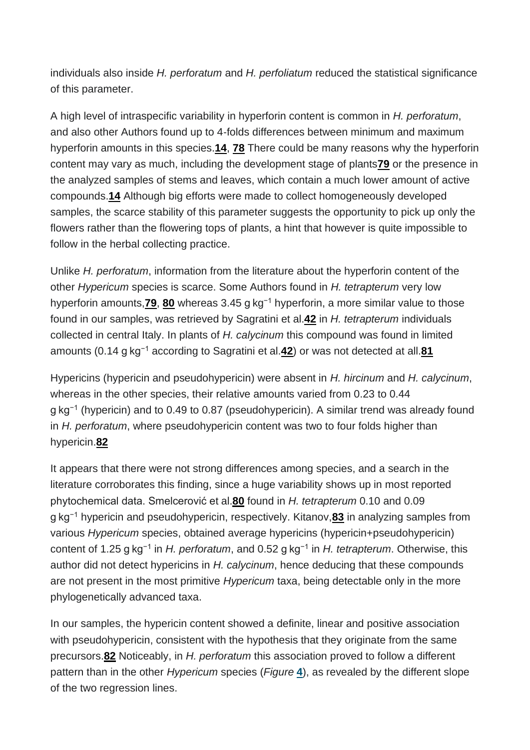individuals also inside *H. perforatum* and *H. perfoliatum* reduced the statistical significance of this parameter.

A high level of intraspecific variability in hyperforin content is common in *H. perforatum*, and also other Authors found up to 4‐folds differences between minimum and maximum hyperforin amounts in this species.**[14](https://onlinelibrary.wiley.com/doi/10.1002/cbdv.201900596#cbdv201900596-bib-0014)**, **[78](https://onlinelibrary.wiley.com/doi/10.1002/cbdv.201900596#cbdv201900596-bib-0078)** There could be many reasons why the hyperforin content may vary as much, including the development stage of plants**[79](https://onlinelibrary.wiley.com/doi/10.1002/cbdv.201900596#cbdv201900596-bib-0079)** or the presence in the analyzed samples of stems and leaves, which contain a much lower amount of active compounds.**[14](https://onlinelibrary.wiley.com/doi/10.1002/cbdv.201900596#cbdv201900596-bib-0014)** Although big efforts were made to collect homogeneously developed samples, the scarce stability of this parameter suggests the opportunity to pick up only the flowers rather than the flowering tops of plants, a hint that however is quite impossible to follow in the herbal collecting practice.

Unlike *H. perforatum*, information from the literature about the hyperforin content of the other *Hypericum* species is scarce. Some Authors found in *H. tetrapterum* very low hyperforin amounts,**[79](https://onlinelibrary.wiley.com/doi/10.1002/cbdv.201900596#cbdv201900596-bib-0079)**, **[80](https://onlinelibrary.wiley.com/doi/10.1002/cbdv.201900596#cbdv201900596-bib-0080)** whereas 3.45 g kg−1 hyperforin, a more similar value to those found in our samples, was retrieved by Sagratini et al.**[42](https://onlinelibrary.wiley.com/doi/10.1002/cbdv.201900596#cbdv201900596-bib-0042)** in *H. tetrapterum* individuals collected in central Italy. In plants of *H. calycinum* this compound was found in limited amounts (0.14 g kg−1 according to Sagratini et al.**[42](https://onlinelibrary.wiley.com/doi/10.1002/cbdv.201900596#cbdv201900596-bib-0042)**) or was not detected at all.**[81](https://onlinelibrary.wiley.com/doi/10.1002/cbdv.201900596#cbdv201900596-bib-0081)**

Hypericins (hypericin and pseudohypericin) were absent in *H. hircinum* and *H. calycinum*, whereas in the other species, their relative amounts varied from 0.23 to 0.44 g kg<sup>-1</sup> (hypericin) and to 0.49 to 0.87 (pseudohypericin). A similar trend was already found in *H. perforatum*, where pseudohypericin content was two to four folds higher than hypericin.**[82](https://onlinelibrary.wiley.com/doi/10.1002/cbdv.201900596#cbdv201900596-bib-0082)**

It appears that there were not strong differences among species, and a search in the literature corroborates this finding, since a huge variability shows up in most reported phytochemical data. Smelcerović et al.**[80](https://onlinelibrary.wiley.com/doi/10.1002/cbdv.201900596#cbdv201900596-bib-0080)** found in *H. tetrapterum* 0.10 and 0.09 g kg−1 hypericin and pseudohypericin, respectively. Kitanov,**[83](https://onlinelibrary.wiley.com/doi/10.1002/cbdv.201900596#cbdv201900596-bib-0083)** in analyzing samples from various *Hypericum* species, obtained average hypericins (hypericin+pseudohypericin) content of 1.25 g kg−1 in *H. perforatum*, and 0.52 g kg−1 in *H. tetrapterum*. Otherwise, this author did not detect hypericins in *H. calycinum*, hence deducing that these compounds are not present in the most primitive *Hypericum* taxa, being detectable only in the more phylogenetically advanced taxa.

In our samples, the hypericin content showed a definite, linear and positive association with pseudohypericin, consistent with the hypothesis that they originate from the same precursors.**[82](https://onlinelibrary.wiley.com/doi/10.1002/cbdv.201900596#cbdv201900596-bib-0082)** Noticeably, in *H. perforatum* this association proved to follow a different pattern than in the other *Hypericum* species (*Figure* **4**), as revealed by the different slope of the two regression lines.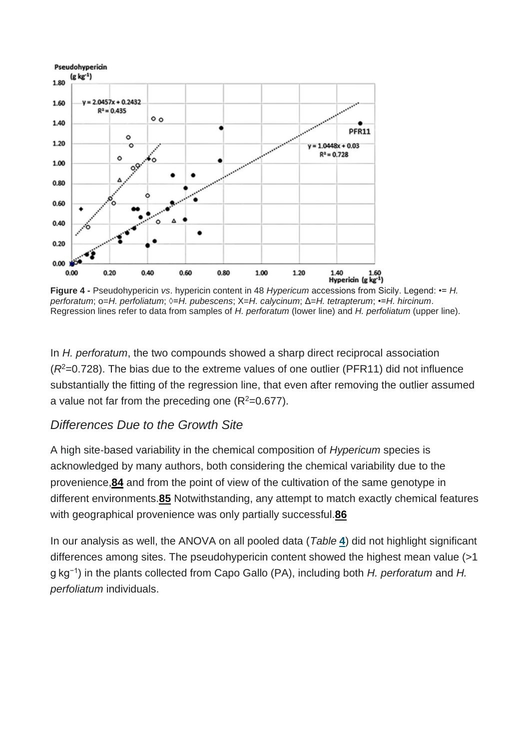

**Figure 4 -** Pseudohypericin *vs*. hypericin content in 48 *Hypericum* accessions from Sicily. Legend: •= *H. perforatum*; o=*H. perfoliatum*; ◊=*H. pubescens*; X=*H. calycinum*; Δ=*H. tetrapterum*; •=*H. hircinum*. Regression lines refer to data from samples of *H. perforatum* (lower line) and *H. perfoliatum* (upper line).

In *H. perforatum*, the two compounds showed a sharp direct reciprocal association  $(R<sup>2</sup>=0.728)$ . The bias due to the extreme values of one outlier (PFR11) did not influence substantially the fitting of the regression line, that even after removing the outlier assumed a value not far from the preceding one  $(R^2=0.677)$ .

#### *Differences Due to the Growth Site*

A high site‐based variability in the chemical composition of *Hypericum* species is acknowledged by many authors, both considering the chemical variability due to the provenience,**[84](https://onlinelibrary.wiley.com/doi/10.1002/cbdv.201900596#cbdv201900596-bib-0084)** and from the point of view of the cultivation of the same genotype in different environments.**[85](https://onlinelibrary.wiley.com/doi/10.1002/cbdv.201900596#cbdv201900596-bib-0085)** Notwithstanding, any attempt to match exactly chemical features with geographical provenience was only partially successful.**[86](https://onlinelibrary.wiley.com/doi/10.1002/cbdv.201900596#cbdv201900596-bib-0086)**

In our analysis as well, the ANOVA on all pooled data (*Table* **[4](https://onlinelibrary.wiley.com/doi/10.1002/cbdv.201900596#cbdv201900596-tbl-0004)**) did not highlight significant differences among sites. The pseudohypericin content showed the highest mean value (>1 g kg−1) in the plants collected from Capo Gallo (PA), including both *H. perforatum* and *H. perfoliatum* individuals.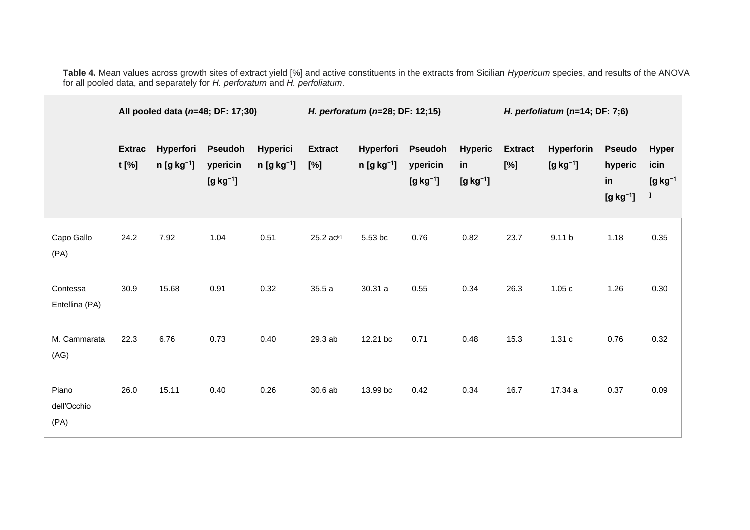**Table 4.** Mean values across growth sites of extract yield [%] and active constituents in the extracts from Sicilian *Hypericum* species, and results of the ANOVA for all pooled data, and separately for *H. perforatum* and *H. perfoliatum*.

|                              | All pooled data ( $n=48$ ; DF: 17;30) |                           |                                          |                                 | H. perforatum (n=28; DF: 12;15) |                           |                                             |                                    | H. perfoliatum ( $n=14$ ; DF: 7;6) |                          |                                              |                                         |
|------------------------------|---------------------------------------|---------------------------|------------------------------------------|---------------------------------|---------------------------------|---------------------------|---------------------------------------------|------------------------------------|------------------------------------|--------------------------|----------------------------------------------|-----------------------------------------|
|                              | <b>Extrac</b><br>t [%]                | Hyperfori<br>$n [g kg-1]$ | <b>Pseudoh</b><br>ypericin<br>$[g kg-1]$ | <b>Hyperici</b><br>$n [g kg-1]$ | <b>Extract</b><br>$[\%]$        | Hyperfori<br>$n [g kg-1]$ | <b>Pseudoh</b><br>ypericin<br>$[g kg^{-1}]$ | <b>Hyperic</b><br>in<br>$[g kg-1]$ | <b>Extract</b><br>$[\%]$           | Hyperforin<br>$[g kg-1]$ | <b>Pseudo</b><br>hyperic<br>in<br>$[g kg-1]$ | <b>Hyper</b><br>icin<br>$[g kg-1]$<br>1 |
| Capo Gallo<br>(PA)           | 24.2                                  | 7.92                      | 1.04                                     | 0.51                            | 25.2 ac <sup>[a]</sup>          | 5.53 bc                   | 0.76                                        | 0.82                               | 23.7                               | 9.11 <sub>b</sub>        | 1.18                                         | 0.35                                    |
| Contessa<br>Entellina (PA)   | 30.9                                  | 15.68                     | 0.91                                     | 0.32                            | 35.5 a                          | 30.31 a                   | 0.55                                        | 0.34                               | 26.3                               | 1.05c                    | 1.26                                         | $0.30\,$                                |
| M. Cammarata<br>(AG)         | 22.3                                  | 6.76                      | 0.73                                     | 0.40                            | 29.3 ab                         | 12.21 bc                  | 0.71                                        | 0.48                               | 15.3                               | 1.31c                    | 0.76                                         | 0.32                                    |
| Piano<br>dell'Occhio<br>(PA) | 26.0                                  | 15.11                     | 0.40                                     | 0.26                            | 30.6 ab                         | 13.99 bc                  | 0.42                                        | 0.34                               | 16.7                               | 17.34 a                  | 0.37                                         | 0.09                                    |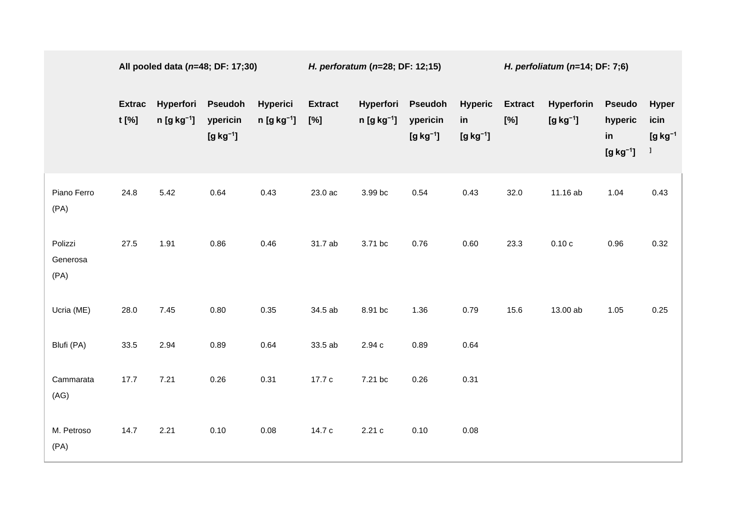|                             | All pooled data ( $n=48$ ; DF: 17;30) |                           |                                          |                                    | H. perforatum (n=28; DF: 12;15) |                           |                                             |                                    | H. perfoliatum ( $n=14$ ; DF: 7;6) |                          |                                              |                                                |
|-----------------------------|---------------------------------------|---------------------------|------------------------------------------|------------------------------------|---------------------------------|---------------------------|---------------------------------------------|------------------------------------|------------------------------------|--------------------------|----------------------------------------------|------------------------------------------------|
|                             | <b>Extrac</b><br>t [%]                | Hyperfori<br>$n [g kg-1]$ | <b>Pseudoh</b><br>ypericin<br>$[g kg-1]$ | <b>Hyperici</b><br>$n [g kg^{-1}]$ | <b>Extract</b><br>[%]           | Hyperfori<br>$n [g kg-1]$ | <b>Pseudoh</b><br>ypericin<br>$[g kg^{-1}]$ | <b>Hyperic</b><br>in<br>$[g kg-1]$ | <b>Extract</b><br>$[\%]$           | Hyperforin<br>$[g kg-1]$ | <b>Pseudo</b><br>hyperic<br>in<br>$[g kg-1]$ | <b>Hyper</b><br>icin<br>$[g kg-1]$<br>$\bf{l}$ |
| Piano Ferro<br>(PA)         | 24.8                                  | 5.42                      | 0.64                                     | 0.43                               | 23.0 ac                         | 3.99 bc                   | 0.54                                        | 0.43                               | 32.0                               | 11.16 ab                 | 1.04                                         | 0.43                                           |
| Polizzi<br>Generosa<br>(PA) | 27.5                                  | 1.91                      | 0.86                                     | 0.46                               | 31.7 ab                         | 3.71 bc                   | 0.76                                        | 0.60                               | 23.3                               | 0.10c                    | 0.96                                         | 0.32                                           |
| Ucria (ME)                  | 28.0                                  | 7.45                      | 0.80                                     | 0.35                               | 34.5 ab                         | 8.91 bc                   | 1.36                                        | 0.79                               | 15.6                               | 13.00 ab                 | 1.05                                         | 0.25                                           |
| Blufi (PA)                  | 33.5                                  | 2.94                      | 0.89                                     | 0.64                               | 33.5 ab                         | $2.94\;{\rm c}$           | 0.89                                        | 0.64                               |                                    |                          |                                              |                                                |
| Cammarata<br>(AG)           | 17.7                                  | 7.21                      | 0.26                                     | 0.31                               | 17.7 c                          | 7.21 bc                   | 0.26                                        | 0.31                               |                                    |                          |                                              |                                                |
| M. Petroso<br>(PA)          | 14.7                                  | 2.21                      | 0.10                                     | 0.08                               | 14.7 c                          | 2.21c                     | 0.10                                        | 0.08                               |                                    |                          |                                              |                                                |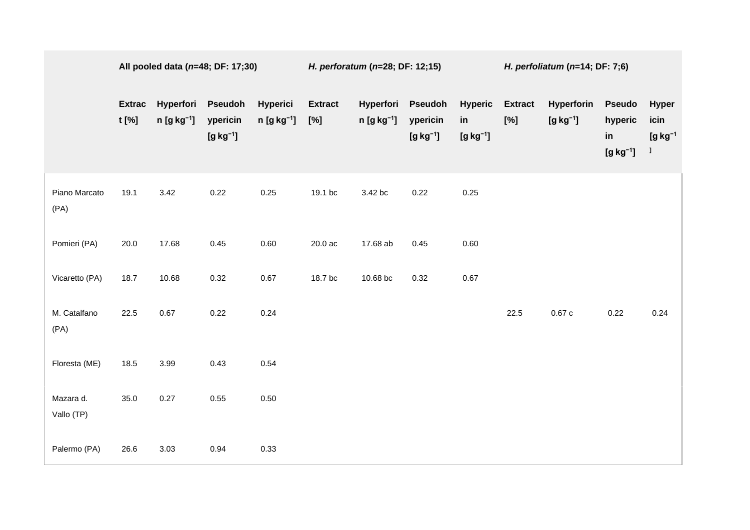|                         | All pooled data $(n=48; DF: 17; 30)$ |                           |                                             | H. perforatum ( $n=28$ ; DF: 12;15) |                          |                              |                                          | H. perfoliatum $(n=14; DF: 7; 6)$  |                          |                          |                                              |                                                    |
|-------------------------|--------------------------------------|---------------------------|---------------------------------------------|-------------------------------------|--------------------------|------------------------------|------------------------------------------|------------------------------------|--------------------------|--------------------------|----------------------------------------------|----------------------------------------------------|
|                         | <b>Extrac</b><br>t [%]               | Hyperfori<br>$n [g kg-1]$ | <b>Pseudoh</b><br>ypericin<br>$[g kg^{-1}]$ | Hyperici<br>$n [g kg-1]$            | <b>Extract</b><br>$[\%]$ | Hyperfori<br>$n [g kg^{-1}]$ | <b>Pseudoh</b><br>ypericin<br>$[g kg-1]$ | <b>Hyperic</b><br>in<br>$[g kg-1]$ | <b>Extract</b><br>$[\%]$ | Hyperforin<br>$[g kg-1]$ | <b>Pseudo</b><br>hyperic<br>in<br>$[g kg-1]$ | <b>Hyper</b><br>icin<br>$[g kg-1]$<br>$\mathbf{I}$ |
| Piano Marcato<br>(PA)   | 19.1                                 | 3.42                      | 0.22                                        | 0.25                                | 19.1 bc                  | 3.42 bc                      | 0.22                                     | 0.25                               |                          |                          |                                              |                                                    |
| Pomieri (PA)            | 20.0                                 | 17.68                     | $0.45\,$                                    | 0.60                                | 20.0 ac                  | 17.68 ab                     | 0.45                                     | 0.60                               |                          |                          |                                              |                                                    |
| Vicaretto (PA)          | 18.7                                 | 10.68                     | 0.32                                        | 0.67                                | 18.7 bc                  | 10.68 bc                     | 0.32                                     | 0.67                               |                          |                          |                                              |                                                    |
| M. Catalfano<br>(PA)    | 22.5                                 | 0.67                      | 0.22                                        | 0.24                                |                          |                              |                                          |                                    | 22.5                     | 0.67c                    | 0.22                                         | 0.24                                               |
| Floresta (ME)           | 18.5                                 | 3.99                      | 0.43                                        | 0.54                                |                          |                              |                                          |                                    |                          |                          |                                              |                                                    |
| Mazara d.<br>Vallo (TP) | 35.0                                 | 0.27                      | 0.55                                        | 0.50                                |                          |                              |                                          |                                    |                          |                          |                                              |                                                    |
| Palermo (PA)            | 26.6                                 | 3.03                      | 0.94                                        | 0.33                                |                          |                              |                                          |                                    |                          |                          |                                              |                                                    |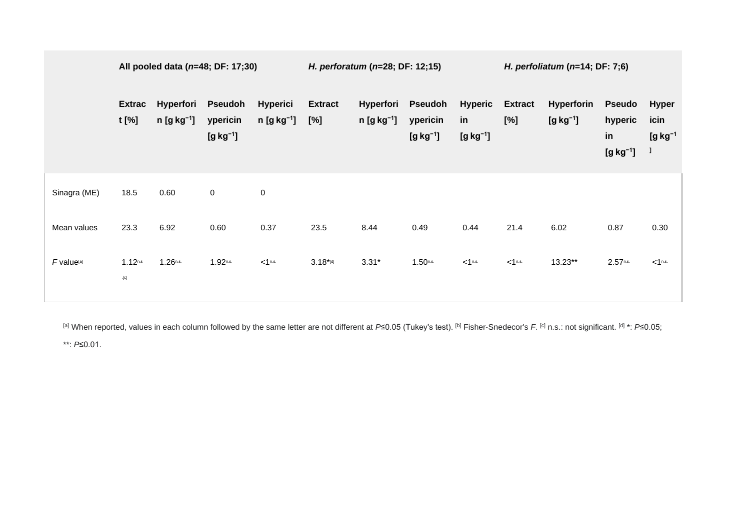|                        | All pooled data ( $n=48$ ; DF: 17;30)             |                              |                                             | H. perforatum (n=28; DF: 12;15)    |                          |                                  | H. perfoliatum ( $n=14$ ; DF: 7;6)       |                                    |                          |                             |                                              |                                          |
|------------------------|---------------------------------------------------|------------------------------|---------------------------------------------|------------------------------------|--------------------------|----------------------------------|------------------------------------------|------------------------------------|--------------------------|-----------------------------|----------------------------------------------|------------------------------------------|
|                        | <b>Extrac</b><br>$t$ [%]                          | Hyperfori<br>$n [g kg^{-1}]$ | <b>Pseudoh</b><br>ypericin<br>$[g kg^{-1}]$ | <b>Hyperici</b><br>$n [g kg^{-1}]$ | <b>Extract</b><br>$[\%]$ | <b>Hyperfori</b><br>$n [g kg-1]$ | <b>Pseudoh</b><br>ypericin<br>$[g kg-1]$ | <b>Hyperic</b><br>in<br>$[g kg-1]$ | <b>Extract</b><br>$[\%]$ | Hyperforin<br>$[g kg^{-1}]$ | <b>Pseudo</b><br>hyperic<br>in<br>$[g kg-1]$ | <b>Hyper</b><br>icin<br>$[g kg-1]$<br>-1 |
| Sinagra (ME)           | 18.5                                              | 0.60                         | $\overline{0}$                              | $\overline{0}$                     |                          |                                  |                                          |                                    |                          |                             |                                              |                                          |
| Mean values            | 23.3                                              | 6.92                         | 0.60                                        | 0.37                               | 23.5                     | 8.44                             | 0.49                                     | 0.44                               | 21.4                     | 6.02                        | 0.87                                         | 0.30                                     |
| F value <sup>[a]</sup> | 1.12 <sup>n.s</sup><br>$\left[ \mathrm{c}\right]$ | $1.26$ n.s.                  | $1.92$ n.s.                                 | < 1 <sup>n.s.</sup>                | $3.18*$ [d]              | $3.31*$                          | $1.50$ n.s.                              | < 1 <sup>n.s.</sup>                | < 1 <sup>n.s.</sup>      | 13.23**                     | $2.57$ <sup>n.s.</sup>                       | $<$ 1 <sup>n.s.</sup>                    |

[a] When reported, values in each column followed by the same letter are not different at *P*≤0.05 (Tukey's test). [b] Fisher‐Snedecor's *F*. [c] n.s.: not significant. [d] \*: *P*≤0.05;

\*\*: *P*≤0.01.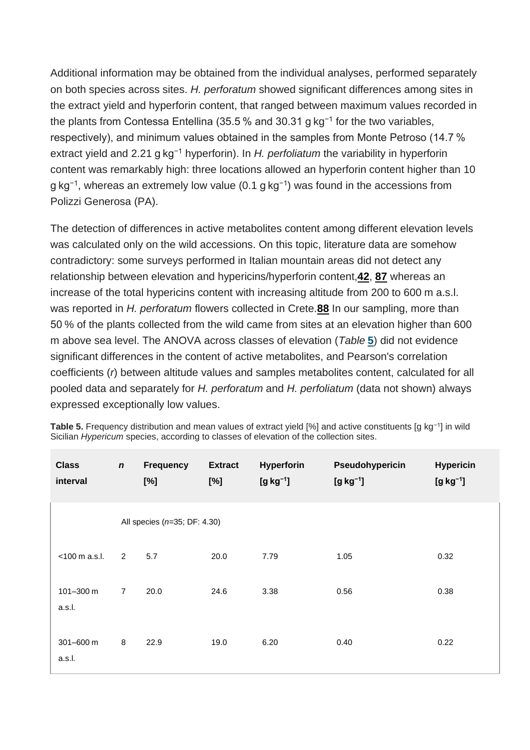Additional information may be obtained from the individual analyses, performed separately on both species across sites. *H. perforatum* showed significant differences among sites in the extract yield and hyperforin content, that ranged between maximum values recorded in the plants from Contessa Entellina (35.5 % and 30.31 g kg−1 for the two variables, respectively), and minimum values obtained in the samples from Monte Petroso (14.7 % extract yield and 2.21 g kg−1 hyperforin). In *H. perfoliatum* the variability in hyperforin content was remarkably high: three locations allowed an hyperforin content higher than 10 g kg<sup>-1</sup>, whereas an extremely low value (0.1 g kg<sup>-1</sup>) was found in the accessions from Polizzi Generosa (PA).

The detection of differences in active metabolites content among different elevation levels was calculated only on the wild accessions. On this topic, literature data are somehow contradictory: some surveys performed in Italian mountain areas did not detect any relationship between elevation and hypericins/hyperforin content,**[42](https://onlinelibrary.wiley.com/doi/10.1002/cbdv.201900596#cbdv201900596-bib-0042)**, **[87](https://onlinelibrary.wiley.com/doi/10.1002/cbdv.201900596#cbdv201900596-bib-0087)** whereas an increase of the total hypericins content with increasing altitude from 200 to 600 m a.s.l. was reported in *H. perforatum* flowers collected in Crete.**[88](https://onlinelibrary.wiley.com/doi/10.1002/cbdv.201900596#cbdv201900596-bib-0088)** In our sampling, more than 50 % of the plants collected from the wild came from sites at an elevation higher than 600 m above sea level. The ANOVA across classes of elevation (*Table* **5**) did not evidence significant differences in the content of active metabolites, and Pearson's correlation coefficients (*r*) between altitude values and samples metabolites content, calculated for all pooled data and separately for *H. perforatum* and *H. perfoliatum* (data not shown) always expressed exceptionally low values.

| <b>Class</b><br>interval | $\mathbf n$    | <b>Frequency</b><br>[%]      | <b>Extract</b><br>[%] | Hyperforin<br>$[g kg^{-1}]$ | Pseudohypericin<br>$[g kg^{-1}]$ | <b>Hypericin</b><br>$[g kg^{-1}]$ |
|--------------------------|----------------|------------------------------|-----------------------|-----------------------------|----------------------------------|-----------------------------------|
|                          |                | All species (n=35; DF: 4.30) |                       |                             |                                  |                                   |
| <100 m a.s.l.            | $\overline{2}$ | 5.7                          | 20.0                  | 7.79                        | 1.05                             | 0.32                              |
| 101-300 m<br>a.s.l.      | $\overline{7}$ | 20.0                         | 24.6                  | 3.38                        | 0.56                             | 0.38                              |
| 301-600 m<br>a.s.l.      | $\bf 8$        | 22.9                         | 19.0                  | 6.20                        | 0.40                             | 0.22                              |

**Table 5.** Frequency distribution and mean values of extract yield [%] and active constituents [g kg−1] in wild Sicilian *Hypericum* species, according to classes of elevation of the collection sites.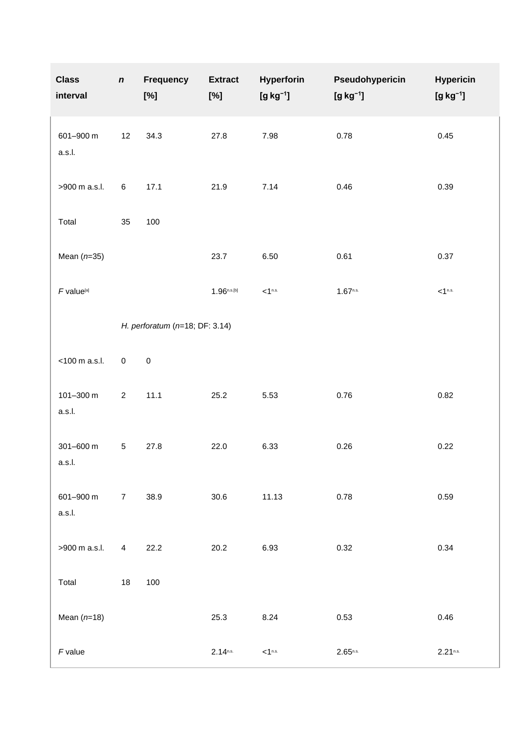| <b>Class</b><br>interval | $\boldsymbol{n}$ | <b>Frequency</b><br>$[\%]$         | <b>Extract</b><br>[%] | Hyperforin<br>$[g kg^{-1}]$ | Pseudohypericin<br>$[g kg^{-1}]$ | <b>Hypericin</b><br>$[g kg^{-1}]$ |
|--------------------------|------------------|------------------------------------|-----------------------|-----------------------------|----------------------------------|-----------------------------------|
| 601-900 m<br>a.s.l.      | 12               | 34.3                               | 27.8                  | 7.98                        | 0.78                             | 0.45                              |
| >900 m a.s.l.            | $\,6$            | 17.1                               | 21.9                  | 7.14                        | 0.46                             | 0.39                              |
| Total                    | 35               | 100                                |                       |                             |                                  |                                   |
| Mean $(n=35)$            |                  |                                    | 23.7                  | 6.50                        | 0.61                             | 0.37                              |
| $F$ value <sup>[a]</sup> |                  |                                    | $1.96^{n.s.[b]}$      | < 1 <sup>n.s.</sup>         | $1.67$ <sup>n.s.</sup>           | $<$ 1 <sup>n.s.</sup>             |
|                          |                  | H. perforatum ( $n=18$ ; DF: 3.14) |                       |                             |                                  |                                   |
| <100 m a.s.l.            | $\mathsf 0$      | $\mathbf 0$                        |                       |                             |                                  |                                   |
| 101-300 m<br>a.s.l.      | $\overline{c}$   | 11.1                               | 25.2                  | 5.53                        | 0.76                             | 0.82                              |
| 301-600 m<br>a.s.l.      | $\sqrt{5}$       | 27.8                               | 22.0                  | 6.33                        | 0.26                             | 0.22                              |
| 601-900 m<br>a.s.l.      | $\overline{7}$   | 38.9                               | 30.6                  | 11.13                       | 0.78                             | 0.59                              |
| >900 m a.s.l.            | 4                | 22.2                               | 20.2                  | 6.93                        | 0.32                             | 0.34                              |
| Total                    | 18               | 100                                |                       |                             |                                  |                                   |
| Mean $(n=18)$            |                  |                                    | 25.3                  | 8.24                        | 0.53                             | 0.46                              |
| $F$ value                |                  |                                    | $2.14^{n.s.}$         | < 1 <sup>n.s.</sup>         | $2.65^{n.s.}$                    | $2.21$ <sup>n.s.</sup>            |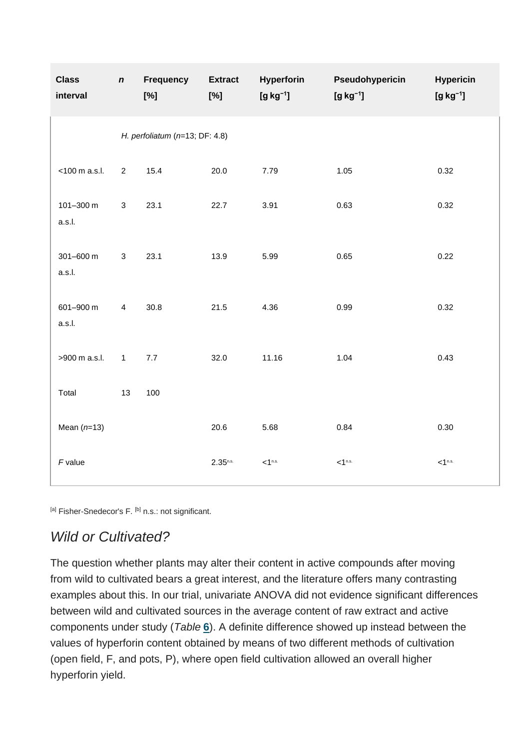| <b>Class</b><br>interval           | $\boldsymbol{n}$        | Frequency<br>[%] | <b>Extract</b><br>[%] | Hyperforin<br>$[g kg^{-1}]$ | Pseudohypericin<br>$[g kg^{-1}]$ | <b>Hypericin</b><br>$[g kg^{-1}]$ |  |  |  |
|------------------------------------|-------------------------|------------------|-----------------------|-----------------------------|----------------------------------|-----------------------------------|--|--|--|
| H. perfoliatum ( $n=13$ ; DF: 4.8) |                         |                  |                       |                             |                                  |                                   |  |  |  |
| <100 m a.s.l.                      | $\overline{2}$          | 15.4             | 20.0                  | 7.79                        | 1.05                             | 0.32                              |  |  |  |
| 101-300 m<br>a.s.l.                | 3                       | 23.1             | 22.7                  | 3.91                        | 0.63                             | 0.32                              |  |  |  |
| 301-600 m<br>a.s.l.                | 3                       | 23.1             | 13.9                  | 5.99                        | 0.65                             | 0.22                              |  |  |  |
| 601-900 m<br>a.s.l.                | $\overline{\mathbf{4}}$ | 30.8             | 21.5                  | 4.36                        | 0.99                             | 0.32                              |  |  |  |
| >900 m a.s.l.                      | $\mathbf{1}$            | 7.7              | 32.0                  | 11.16                       | 1.04                             | 0.43                              |  |  |  |
| Total                              | 13                      | 100              |                       |                             |                                  |                                   |  |  |  |
| Mean $(n=13)$                      |                         |                  | 20.6                  | 5.68                        | 0.84                             | 0.30                              |  |  |  |
| $F$ value                          |                         |                  | $2.35^{n.s.}$         | $<$ 1 <sup>n.s.</sup>       | $<$ 1 <sup>n.s.</sup>            | < 1 <sup>n.s.</sup>               |  |  |  |

[a] Fisher-Snedecor's F. [b] n.s.: not significant.

### *Wild or Cultivated?*

The question whether plants may alter their content in active compounds after moving from wild to cultivated bears a great interest, and the literature offers many contrasting examples about this. In our trial, univariate ANOVA did not evidence significant differences between wild and cultivated sources in the average content of raw extract and active components under study (*Table* **6**). A definite difference showed up instead between the values of hyperforin content obtained by means of two different methods of cultivation (open field, F, and pots, P), where open field cultivation allowed an overall higher hyperforin yield.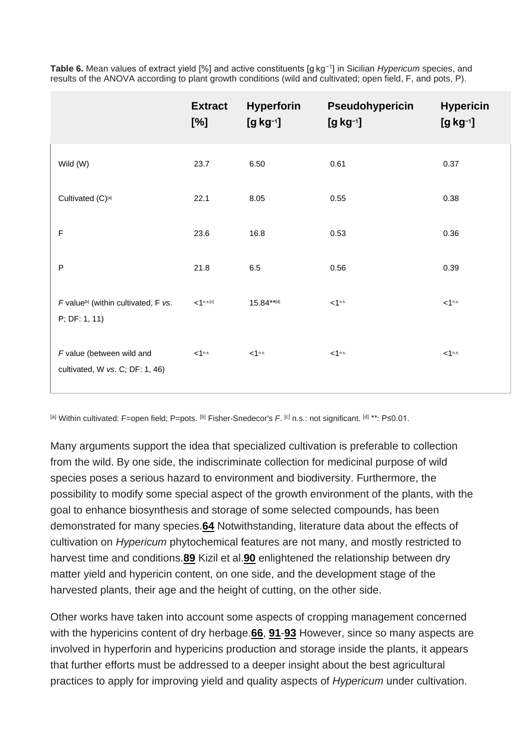|                                                                   | <b>Extract</b><br>[%] | <b>Hyperforin</b><br>$[g kg^{-1}]$ | Pseudohypericin<br>$[g kg^{-1}]$ | <b>Hypericin</b><br>$[g kg^{-1}]$ |
|-------------------------------------------------------------------|-----------------------|------------------------------------|----------------------------------|-----------------------------------|
| Wild (W)                                                          | 23.7                  | 6.50                               | 0.61                             | 0.37                              |
| Cultivated (C)[a]                                                 | 22.1                  | 8.05                               | 0.55                             | 0.38                              |
| $\mathsf F$                                                       | 23.6                  | 16.8                               | 0.53                             | 0.36                              |
| $\mathsf{P}$                                                      | 21.8                  | $6.5\,$                            | 0.56                             | 0.39                              |
| F value <sup>[b]</sup> (within cultivated, F vs.<br>P; DF: 1, 11) | $<1^{n.s.[c]}$        | $15.84***$ [d]                     | $<$ 1 <sup>n.s.</sup>            | < 1 <sup>n.s.</sup>               |
| F value (between wild and<br>cultivated, W vs. C; DF: 1, 46)      | < 1 <sup>n.s.</sup>   | < 1 <sup>n.s.</sup>                | $<$ 1 <sup>n.s.</sup>            | < 1 <sup>n.s.</sup>               |

**Table 6.** Mean values of extract yield [%] and active constituents [g kg−1] in Sicilian *Hypericum* species, and results of the ANOVA according to plant growth conditions (wild and cultivated; open field, F, and pots, P).

[a] Within cultivated: F=open field; P=pots. [b] Fisher‐Snedecor's *F*. [c] n.s.: not significant. [d] \*\*: P≤0.01.

Many arguments support the idea that specialized cultivation is preferable to collection from the wild. By one side, the indiscriminate collection for medicinal purpose of wild species poses a serious hazard to environment and biodiversity. Furthermore, the possibility to modify some special aspect of the growth environment of the plants, with the goal to enhance biosynthesis and storage of some selected compounds, has been demonstrated for many species.**[64](https://onlinelibrary.wiley.com/doi/10.1002/cbdv.201900596#cbdv201900596-bib-0064)** Notwithstanding, literature data about the effects of cultivation on *Hypericum* phytochemical features are not many, and mostly restricted to harvest time and conditions.**[89](https://onlinelibrary.wiley.com/doi/10.1002/cbdv.201900596#cbdv201900596-bib-0089)** Kizil et al.**[90](https://onlinelibrary.wiley.com/doi/10.1002/cbdv.201900596#cbdv201900596-bib-0090)** enlightened the relationship between dry matter yield and hypericin content, on one side, and the development stage of the harvested plants, their age and the height of cutting, on the other side.

Other works have taken into account some aspects of cropping management concerned with the hypericins content of dry herbage.**[66](https://onlinelibrary.wiley.com/doi/10.1002/cbdv.201900596#cbdv201900596-bib-0066)**, **[91](https://onlinelibrary.wiley.com/doi/10.1002/cbdv.201900596#cbdv201900596-bib-0091)**-**[93](https://onlinelibrary.wiley.com/doi/10.1002/cbdv.201900596#cbdv201900596-bib-0093)** However, since so many aspects are involved in hyperforin and hypericins production and storage inside the plants, it appears that further efforts must be addressed to a deeper insight about the best agricultural practices to apply for improving yield and quality aspects of *Hypericum* under cultivation.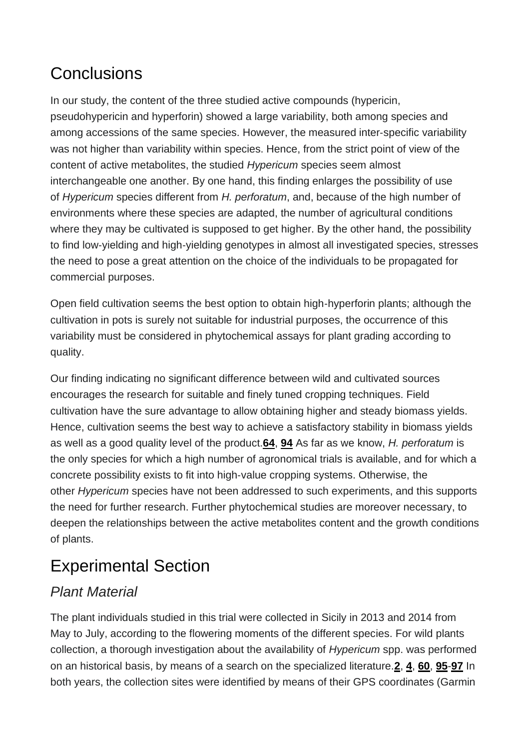## Conclusions

In our study, the content of the three studied active compounds (hypericin, pseudohypericin and hyperforin) showed a large variability, both among species and among accessions of the same species. However, the measured inter‐specific variability was not higher than variability within species. Hence, from the strict point of view of the content of active metabolites, the studied *Hypericum* species seem almost interchangeable one another. By one hand, this finding enlarges the possibility of use of *Hypericum* species different from *H. perforatum*, and, because of the high number of environments where these species are adapted, the number of agricultural conditions where they may be cultivated is supposed to get higher. By the other hand, the possibility to find low‐yielding and high‐yielding genotypes in almost all investigated species, stresses the need to pose a great attention on the choice of the individuals to be propagated for commercial purposes.

Open field cultivation seems the best option to obtain high‐hyperforin plants; although the cultivation in pots is surely not suitable for industrial purposes, the occurrence of this variability must be considered in phytochemical assays for plant grading according to quality.

Our finding indicating no significant difference between wild and cultivated sources encourages the research for suitable and finely tuned cropping techniques. Field cultivation have the sure advantage to allow obtaining higher and steady biomass yields. Hence, cultivation seems the best way to achieve a satisfactory stability in biomass yields as well as a good quality level of the product.**[64](https://onlinelibrary.wiley.com/doi/10.1002/cbdv.201900596#cbdv201900596-bib-0064)**, **[94](https://onlinelibrary.wiley.com/doi/10.1002/cbdv.201900596#cbdv201900596-bib-0094)** As far as we know, *H. perforatum* is the only species for which a high number of agronomical trials is available, and for which a concrete possibility exists to fit into high‐value cropping systems. Otherwise, the other *Hypericum* species have not been addressed to such experiments, and this supports the need for further research. Further phytochemical studies are moreover necessary, to deepen the relationships between the active metabolites content and the growth conditions of plants.

## Experimental Section

### *Plant Material*

The plant individuals studied in this trial were collected in Sicily in 2013 and 2014 from May to July, according to the flowering moments of the different species. For wild plants collection, a thorough investigation about the availability of *Hypericum* spp. was performed on an historical basis, by means of a search on the specialized literature.**[2](https://onlinelibrary.wiley.com/doi/10.1002/cbdv.201900596#cbdv201900596-bib-0002)**, **[4](https://onlinelibrary.wiley.com/doi/10.1002/cbdv.201900596#cbdv201900596-bib-0004)**, **[60](https://onlinelibrary.wiley.com/doi/10.1002/cbdv.201900596#cbdv201900596-bib-0060)**, **[95](https://onlinelibrary.wiley.com/doi/10.1002/cbdv.201900596#cbdv201900596-bib-0095)**-**[97](https://onlinelibrary.wiley.com/doi/10.1002/cbdv.201900596#cbdv201900596-bib-0097)** In both years, the collection sites were identified by means of their GPS coordinates (Garmin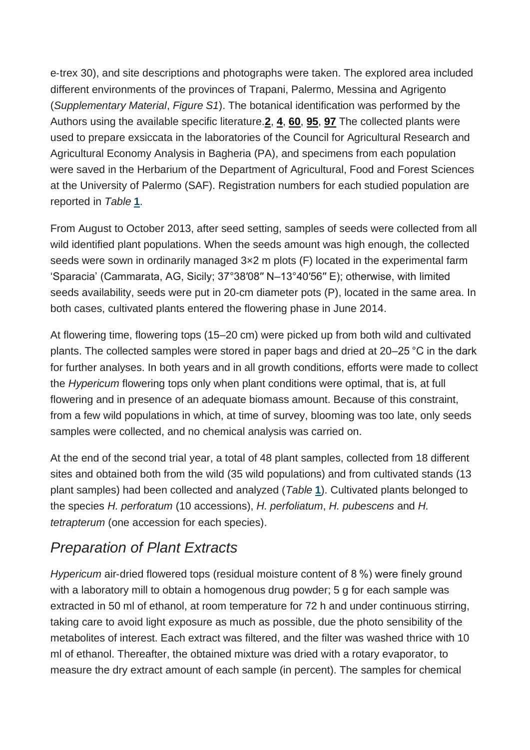e‐trex 30), and site descriptions and photographs were taken. The explored area included different environments of the provinces of Trapani, Palermo, Messina and Agrigento (*Supplementary Material*, *Figure S1*). The botanical identification was performed by the Authors using the available specific literature.**[2](https://onlinelibrary.wiley.com/doi/10.1002/cbdv.201900596#cbdv201900596-bib-0002)**, **[4](https://onlinelibrary.wiley.com/doi/10.1002/cbdv.201900596#cbdv201900596-bib-0004)**, **[60](https://onlinelibrary.wiley.com/doi/10.1002/cbdv.201900596#cbdv201900596-bib-0060)**, **[95](https://onlinelibrary.wiley.com/doi/10.1002/cbdv.201900596#cbdv201900596-bib-0095)**, **[97](https://onlinelibrary.wiley.com/doi/10.1002/cbdv.201900596#cbdv201900596-bib-0097)** The collected plants were used to prepare exsiccata in the laboratories of the Council for Agricultural Research and Agricultural Economy Analysis in Bagheria (PA), and specimens from each population were saved in the Herbarium of the Department of Agricultural, Food and Forest Sciences at the University of Palermo (SAF). Registration numbers for each studied population are reported in *Table* **[1](https://onlinelibrary.wiley.com/doi/10.1002/cbdv.201900596#cbdv201900596-tbl-0001)**.

From August to October 2013, after seed setting, samples of seeds were collected from all wild identified plant populations. When the seeds amount was high enough, the collected seeds were sown in ordinarily managed 3×2 m plots (F) located in the experimental farm 'Sparacia' (Cammarata, AG, Sicily; 37°38′08′′ N–13°40′56′′ E); otherwise, with limited seeds availability, seeds were put in 20-cm diameter pots (P), located in the same area. In both cases, cultivated plants entered the flowering phase in June 2014.

At flowering time, flowering tops (15–20 cm) were picked up from both wild and cultivated plants. The collected samples were stored in paper bags and dried at 20–25 °C in the dark for further analyses. In both years and in all growth conditions, efforts were made to collect the *Hypericum* flowering tops only when plant conditions were optimal, that is, at full flowering and in presence of an adequate biomass amount. Because of this constraint, from a few wild populations in which, at time of survey, blooming was too late, only seeds samples were collected, and no chemical analysis was carried on.

At the end of the second trial year, a total of 48 plant samples, collected from 18 different sites and obtained both from the wild (35 wild populations) and from cultivated stands (13 plant samples) had been collected and analyzed (*Table* **1**). Cultivated plants belonged to the species *H. perforatum* (10 accessions), *H. perfoliatum*, *H. pubescens* and *H. tetrapterum* (one accession for each species).

### *Preparation of Plant Extracts*

*Hypericum* air-dried flowered tops (residual moisture content of 8 %) were finely ground with a laboratory mill to obtain a homogenous drug powder; 5 g for each sample was extracted in 50 ml of ethanol, at room temperature for 72 h and under continuous stirring, taking care to avoid light exposure as much as possible, due the photo sensibility of the metabolites of interest. Each extract was filtered, and the filter was washed thrice with 10 ml of ethanol. Thereafter, the obtained mixture was dried with a rotary evaporator, to measure the dry extract amount of each sample (in percent). The samples for chemical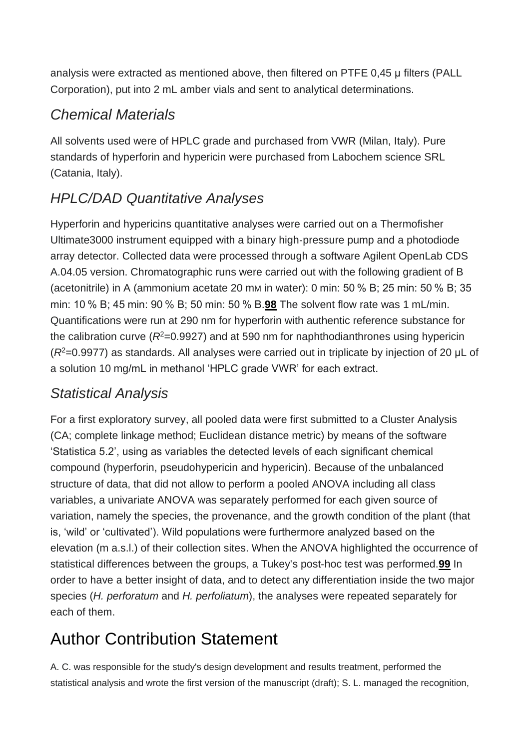analysis were extracted as mentioned above, then filtered on PTFE 0,45 μ filters (PALL Corporation), put into 2 mL amber vials and sent to analytical determinations.

### *Chemical Materials*

All solvents used were of HPLC grade and purchased from VWR (Milan, Italy). Pure standards of hyperforin and hypericin were purchased from Labochem science SRL (Catania, Italy).

### *HPLC/DAD Quantitative Analyses*

Hyperforin and hypericins quantitative analyses were carried out on a Thermofisher Ultimate3000 instrument equipped with a binary high‐pressure pump and a photodiode array detector. Collected data were processed through a software Agilent OpenLab CDS A.04.05 version. Chromatographic runs were carried out with the following gradient of B (acetonitrile) in A (ammonium acetate 20 mM in water): 0 min: 50 % B; 25 min: 50 % B; 35 min: 10 % B; 45 min: 90 % B; 50 min: 50 % B.**[98](https://onlinelibrary.wiley.com/doi/10.1002/cbdv.201900596#cbdv201900596-bib-0098)** The solvent flow rate was 1 mL/min. Quantifications were run at 290 nm for hyperforin with authentic reference substance for the calibration curve ( $R^2$ =0.9927) and at 590 nm for naphthodianthrones using hypericin (*R*<sup>2</sup>=0.9977) as standards. All analyses were carried out in triplicate by injection of 20 μL of a solution 10 mg/mL in methanol 'HPLC grade VWR' for each extract.

#### *Statistical Analysis*

For a first exploratory survey, all pooled data were first submitted to a Cluster Analysis (CA; complete linkage method; Euclidean distance metric) by means of the software 'Statistica 5.2', using as variables the detected levels of each significant chemical compound (hyperforin, pseudohypericin and hypericin). Because of the unbalanced structure of data, that did not allow to perform a pooled ANOVA including all class variables, a univariate ANOVA was separately performed for each given source of variation, namely the species, the provenance, and the growth condition of the plant (that is, 'wild' or 'cultivated'). Wild populations were furthermore analyzed based on the elevation (m a.s.l.) of their collection sites. When the ANOVA highlighted the occurrence of statistical differences between the groups, a Tukey's post‐hoc test was performed.**[99](https://onlinelibrary.wiley.com/doi/10.1002/cbdv.201900596#cbdv201900596-bib-0099)** In order to have a better insight of data, and to detect any differentiation inside the two major species (*H. perforatum* and *H. perfoliatum*), the analyses were repeated separately for each of them.

## Author Contribution Statement

A. C. was responsible for the study's design development and results treatment, performed the statistical analysis and wrote the first version of the manuscript (draft); S. L. managed the recognition,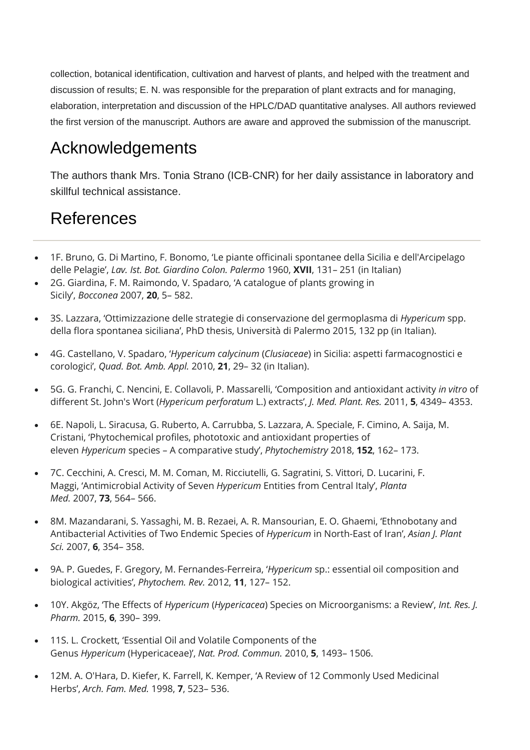collection, botanical identification, cultivation and harvest of plants, and helped with the treatment and discussion of results; E. N. was responsible for the preparation of plant extracts and for managing, elaboration, interpretation and discussion of the HPLC/DAD quantitative analyses. All authors reviewed the first version of the manuscript. Authors are aware and approved the submission of the manuscript.

### Acknowledgements

The authors thank Mrs. Tonia Strano (ICB‐CNR) for her daily assistance in laboratory and skillful technical assistance.

### References

- 1F. Bruno, G. Di Martino, F. Bonomo, 'Le piante officinali spontanee della Sicilia e dell'Arcipelago delle Pelagie', *Lav. Ist. Bot. Giardino Colon. Palermo* 1960, **XVII**, 131– 251 (in Italian)
- 2G. Giardina, F. M. Raimondo, V. Spadaro, 'A catalogue of plants growing in Sicily', *Bocconea* 2007, **20**, 5– 582.
- 3S. Lazzara, 'Ottimizzazione delle strategie di conservazione del germoplasma di *Hypericum* spp. della flora spontanea siciliana', PhD thesis, Università di Palermo 2015, 132 pp (in Italian).
- 4G. Castellano, V. Spadaro, '*Hypericum calycinum* (*Clusiaceae*) in Sicilia: aspetti farmacognostici e corologici', *Quad. Bot. Amb. Appl.* 2010, **21**, 29– 32 (in Italian).
- 5G. G. Franchi, C. Nencini, E. Collavoli, P. Massarelli, 'Composition and antioxidant activity *in vitro* of different St. John's Wort (*Hypericum perforatum* L.) extracts', *J. Med. Plant. Res.* 2011, **5**, 4349– 4353.
- 6E. Napoli, L. Siracusa, G. Ruberto, A. Carrubba, S. Lazzara, A. Speciale, F. Cimino, A. Saija, M. Cristani, 'Phytochemical profiles, phototoxic and antioxidant properties of eleven *Hypericum* species – A comparative study', *Phytochemistry* 2018, **152**, 162– 173.
- 7C. Cecchini, A. Cresci, M. M. Coman, M. Ricciutelli, G. Sagratini, S. Vittori, D. Lucarini, F. Maggi, 'Antimicrobial Activity of Seven *Hypericum* Entities from Central Italy', *Planta Med.* 2007, **73**, 564– 566.
- 8M. Mazandarani, S. Yassaghi, M. B. Rezaei, A. R. Mansourian, E. O. Ghaemi, 'Ethnobotany and Antibacterial Activities of Two Endemic Species of *Hypericum* in North-East of Iran', *Asian J. Plant Sci.* 2007, **6**, 354– 358.
- 9A. P. Guedes, F. Gregory, M. Fernandes-Ferreira, '*Hypericum* sp.: essential oil composition and biological activities', *Phytochem. Rev.* 2012, **11**, 127– 152.
- 10Y. Akgöz, 'The Effects of *Hypericum* (*Hypericacea*) Species on Microorganisms: a Review', *Int. Res. J. Pharm.* 2015, **6**, 390– 399.
- 11S. L. Crockett, 'Essential Oil and Volatile Components of the Genus *Hypericum* (Hypericaceae)', *Nat. Prod. Commun.* 2010, **5**, 1493– 1506.
- 12M. A. O'Hara, D. Kiefer, K. Farrell, K. Kemper, 'A Review of 12 Commonly Used Medicinal Herbs', *Arch. Fam. Med.* 1998, **7**, 523– 536.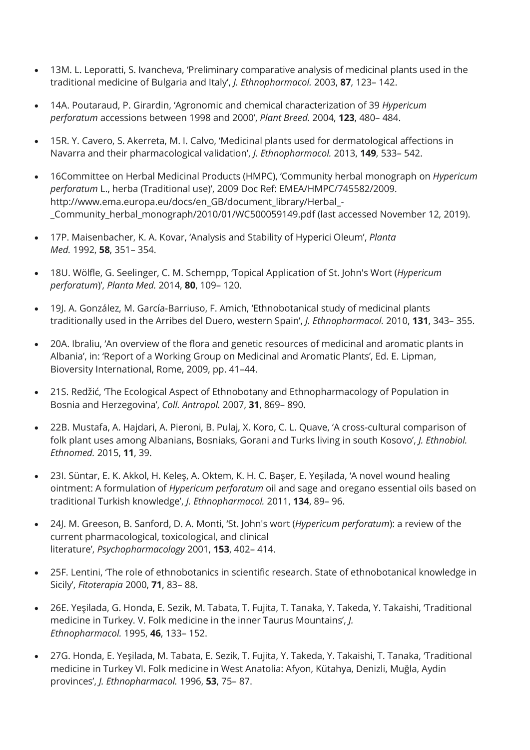- 13M. L. Leporatti, S. Ivancheva, 'Preliminary comparative analysis of medicinal plants used in the traditional medicine of Bulgaria and Italy', *J. Ethnopharmacol.* 2003, **87**, 123– 142.
- 14A. Poutaraud, P. Girardin, 'Agronomic and chemical characterization of 39 *Hypericum perforatum* accessions between 1998 and 2000', *Plant Breed.* 2004, **123**, 480– 484.
- 15R. Y. Cavero, S. Akerreta, M. I. Calvo, 'Medicinal plants used for dermatological affections in Navarra and their pharmacological validation', *J. Ethnopharmacol.* 2013, **149**, 533– 542.
- 16Committee on Herbal Medicinal Products (HMPC), 'Community herbal monograph on *Hypericum perforatum* L., herba (Traditional use)', 2009 Doc Ref: EMEA/HMPC/745582/2009. http://www.ema.europa.eu/docs/en\_GB/document\_library/Herbal\_- \_Community\_herbal\_monograph/2010/01/WC500059149.pdf (last accessed November 12, 2019).
- 17P. Maisenbacher, K. A. Kovar, 'Analysis and Stability of Hyperici Oleum', *Planta Med.* 1992, **58**, 351– 354.
- 18U. Wölfle, G. Seelinger, C. M. Schempp, 'Topical Application of St. John's Wort (*Hypericum perforatum*)', *Planta Med.* 2014, **80**, 109– 120.
- 19J. A. González, M. García-Barriuso, F. Amich, 'Ethnobotanical study of medicinal plants traditionally used in the Arribes del Duero, western Spain', *J. Ethnopharmacol.* 2010, **131**, 343– 355.
- 20A. Ibraliu, 'An overview of the flora and genetic resources of medicinal and aromatic plants in Albania', in: 'Report of a Working Group on Medicinal and Aromatic Plants', Ed. E. Lipman, Bioversity International, Rome, 2009, pp. 41–44.
- 21S. Redžić, 'The Ecological Aspect of Ethnobotany and Ethnopharmacology of Population in Bosnia and Herzegovina', *Coll. Antropol.* 2007, **31**, 869– 890.
- 22B. Mustafa, A. Hajdari, A. Pieroni, B. Pulaj, X. Koro, C. L. Quave, 'A cross-cultural comparison of folk plant uses among Albanians, Bosniaks, Gorani and Turks living in south Kosovo', *J. Ethnobiol. Ethnomed.* 2015, **11**, 39.
- 23I. Süntar, E. K. Akkol, H. Keleş, A. Oktem, K. H. C. Başer, E. Yeşilada, 'A novel wound healing ointment: A formulation of *Hypericum perforatum* oil and sage and oregano essential oils based on traditional Turkish knowledge', *J. Ethnopharmacol.* 2011, **134**, 89– 96.
- 24J. M. Greeson, B. Sanford, D. A. Monti, 'St. John's wort (*Hypericum perforatum*): a review of the current pharmacological, toxicological, and clinical literature', *Psychopharmacology* 2001, **153**, 402– 414.
- 25F. Lentini, 'The role of ethnobotanics in scientific research. State of ethnobotanical knowledge in Sicily', *Fitoterapia* 2000, **71**, 83– 88.
- 26E. Yeşilada, G. Honda, E. Sezik, M. Tabata, T. Fujita, T. Tanaka, Y. Takeda, Y. Takaishi, 'Traditional medicine in Turkey. V. Folk medicine in the inner Taurus Mountains', *J. Ethnopharmacol.* 1995, **46**, 133– 152.
- 27G. Honda, E. Yeşilada, M. Tabata, E. Sezik, T. Fujita, Y. Takeda, Y. Takaishi, T. Tanaka, 'Traditional medicine in Turkey VI. Folk medicine in West Anatolia: Afyon, Kütahya, Denizli, Muğla, Aydin provinces', *J. Ethnopharmacol.* 1996, **53**, 75– 87.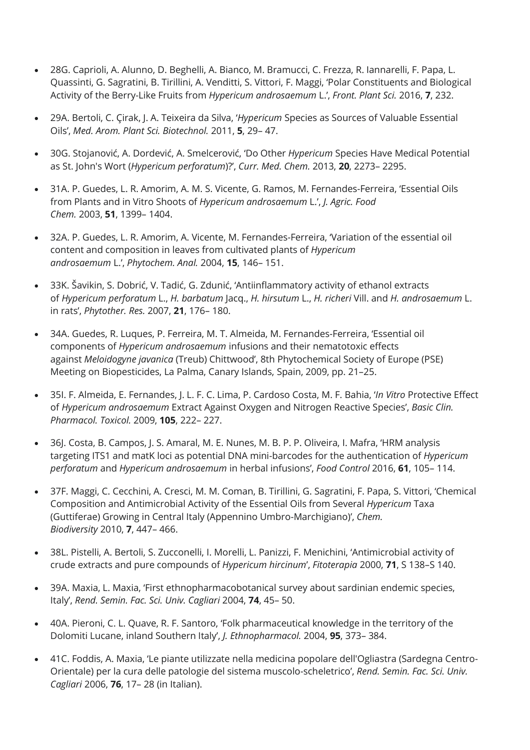- 28G. Caprioli, A. Alunno, D. Beghelli, A. Bianco, M. Bramucci, C. Frezza, R. Iannarelli, F. Papa, L. Quassinti, G. Sagratini, B. Tirillini, A. Venditti, S. Vittori, F. Maggi, 'Polar Constituents and Biological Activity of the Berry-Like Fruits from *Hypericum androsaemum* L.', *Front. Plant Sci.* 2016, **7**, 232.
- 29A. Bertoli, C. Çirak, J. A. Teixeira da Silva, '*Hypericum* Species as Sources of Valuable Essential Oils', *Med. Arom. Plant Sci. Biotechnol.* 2011, **5**, 29– 47.
- 30G. Stojanović, A. Dordević, A. Smelcerović, 'Do Other *Hypericum* Species Have Medical Potential as St. John's Wort (*Hypericum perforatum*)?', *Curr. Med. Chem.* 2013, **20**, 2273– 2295.
- 31A. P. Guedes, L. R. Amorim, A. M. S. Vicente, G. Ramos, M. Fernandes-Ferreira, 'Essential Oils from Plants and in Vitro Shoots of *Hypericum androsaemum* L.', *J. Agric. Food Chem.* 2003, **51**, 1399– 1404.
- 32A. P. Guedes, L. R. Amorim, A. Vicente, M. Fernandes-Ferreira, 'Variation of the essential oil content and composition in leaves from cultivated plants of *Hypericum androsaemum* L.', *Phytochem. Anal.* 2004, **15**, 146– 151.
- 33K. Šavikin, S. Dobrić, V. Tadić, G. Zdunić, 'Antiinflammatory activity of ethanol extracts of *Hypericum perforatum* L., *H. barbatum* Jacq., *H. hirsutum* L., *H. richeri* Vill. and *H. androsaemum* L. in rats', *Phytother. Res.* 2007, **21**, 176– 180.
- 34A. Guedes, R. Luques, P. Ferreira, M. T. Almeida, M. Fernandes-Ferreira, 'Essential oil components of *Hypericum androsaemum* infusions and their nematotoxic effects against *Meloidogyne javanica* (Treub) Chittwood', 8th Phytochemical Society of Europe (PSE) Meeting on Biopesticides, La Palma, Canary Islands, Spain, 2009, pp. 21–25.
- 35I. F. Almeida, E. Fernandes, J. L. F. C. Lima, P. Cardoso Costa, M. F. Bahia, '*In Vitro* Protective Effect of *Hypericum androsaemum* Extract Against Oxygen and Nitrogen Reactive Species', *Basic Clin. Pharmacol. Toxicol.* 2009, **105**, 222– 227.
- 36J. Costa, B. Campos, J. S. Amaral, M. E. Nunes, M. B. P. P. Oliveira, I. Mafra, 'HRM analysis targeting ITS1 and matK loci as potential DNA mini-barcodes for the authentication of *Hypericum perforatum* and *Hypericum androsaemum* in herbal infusions', *Food Control* 2016, **61**, 105– 114.
- 37F. Maggi, C. Cecchini, A. Cresci, M. M. Coman, B. Tirillini, G. Sagratini, F. Papa, S. Vittori, 'Chemical Composition and Antimicrobial Activity of the Essential Oils from Several *Hypericum* Taxa (Guttiferae) Growing in Central Italy (Appennino Umbro-Marchigiano)', *Chem. Biodiversity* 2010, **7**, 447– 466.
- 38L. Pistelli, A. Bertoli, S. Zucconelli, I. Morelli, L. Panizzi, F. Menichini, 'Antimicrobial activity of crude extracts and pure compounds of *Hypericum hircinum*', *Fitoterapia* 2000, **71**, S 138–S 140.
- 39A. Maxia, L. Maxia, 'First ethnopharmacobotanical survey about sardinian endemic species, Italy', *Rend. Semin. Fac. Sci. Univ. Cagliari* 2004, **74**, 45– 50.
- 40A. Pieroni, C. L. Quave, R. F. Santoro, 'Folk pharmaceutical knowledge in the territory of the Dolomiti Lucane, inland Southern Italy', *J. Ethnopharmacol.* 2004, **95**, 373– 384.
- 41C. Foddis, A. Maxia, 'Le piante utilizzate nella medicina popolare dell'Ogliastra (Sardegna Centro-Orientale) per la cura delle patologie del sistema muscolo-scheletrico', *Rend. Semin. Fac. Sci. Univ. Cagliari* 2006, **76**, 17– 28 (in Italian).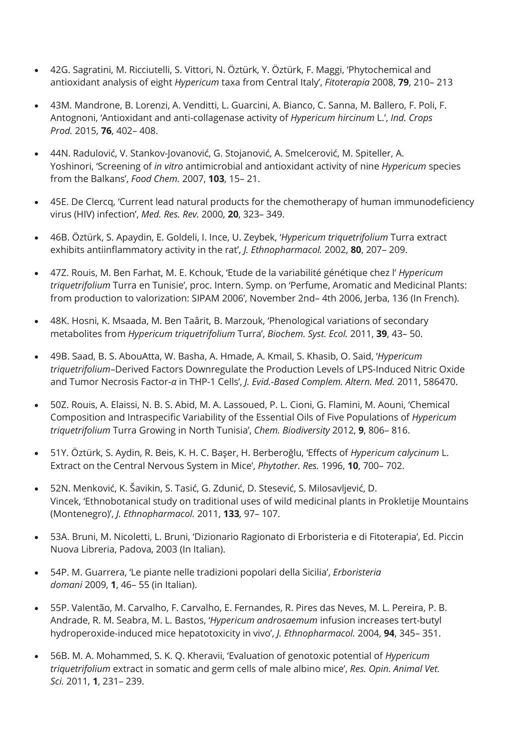- 42G. Sagratini, M. Ricciutelli, S. Vittori, N. Öztürk, Y. Öztürk, F. Maggi, 'Phytochemical and antioxidant analysis of eight *Hypericum* taxa from Central Italy', *Fitoterapia* 2008, **79**, 210– 213
- 43M. Mandrone, B. Lorenzi, A. Venditti, L. Guarcini, A. Bianco, C. Sanna, M. Ballero, F. Poli, F. Antognoni, 'Antioxidant and anti-collagenase activity of *Hypericum hircinum* L.', *Ind. Crops Prod.* 2015, **76**, 402– 408.
- 44N. Radulović, V. Stankov-Jovanović, G. Stojanović, A. Smelcerović, M. Spiteller, A. Yoshinori, 'Screening of *in vitro* antimicrobial and antioxidant activity of nine *Hypericum* species from the Balkans', *Food Chem.* 2007, **103**, 15– 21.
- 45E. De Clercq, 'Current lead natural products for the chemotherapy of human immunodeficiency virus (HIV) infection', *Med. Res. Rev.* 2000, **20**, 323– 349.
- 46B. Öztürk, S. Apaydin, E. Goldeli, I. Ince, U. Zeybek, '*Hypericum triquetrifolium* Turra extract exhibits antiinflammatory activity in the rat', *J. Ethnopharmacol.* 2002, **80**, 207– 209.
- 47Z. Rouis, M. Ben Farhat, M. E. Kchouk, 'Etude de la variabilité génétique chez l' *Hypericum triquetrifolium* Turra en Tunisie', proc. Intern. Symp. on 'Perfume, Aromatic and Medicinal Plants: from production to valorization: SIPAM 2006', November 2nd– 4th 2006, Jerba, 136 (In French).
- 48K. Hosni, K. Msaada, M. Ben Taârit, B. Marzouk, 'Phenological variations of secondary metabolites from *Hypericum triquetrifolium* Turra', *Biochem. Syst. Ecol.* 2011, **39**, 43– 50.
- 49B. Saad, B. S. AbouAtta, W. Basha, A. Hmade, A. Kmail, S. Khasib, O. Said, '*Hypericum triquetrifolium*–Derived Factors Downregulate the Production Levels of LPS-Induced Nitric Oxide and Tumor Necrosis Factor-*α* in THP-1 Cells', *J. Evid.-Based Complem. Altern. Med.* 2011, 586470.
- 50Z. Rouis, A. Elaissi, N. B. S. Abid, M. A. Lassoued, P. L. Cioni, G. Flamini, M. Aouni, 'Chemical Composition and Intraspecific Variability of the Essential Oils of Five Populations of *Hypericum triquetrifolium* Turra Growing in North Tunisia', *Chem. Biodiversity* 2012, **9**, 806– 816.
- 51Y. Öztürk, S. Aydin, R. Beis, K. H. C. Başer, H. Berberoğlu, 'Effects of *Hypericum calycinum* L. Extract on the Central Nervous System in Mice', *Phytother. Res.* 1996, **10**, 700– 702.
- 52N. Menković, K. Šavikin, S. Tasić, G. Zdunić, D. Stesević, S. Milosavljević, D. Vincek, 'Ethnobotanical study on traditional uses of wild medicinal plants in Prokletije Mountains (Montenegro)', *J. Ethnopharmacol.* 2011, **133**, 97– 107.
- 53A. Bruni, M. Nicoletti, L. Bruni, 'Dizionario Ragionato di Erboristeria e di Fitoterapia', Ed. Piccin Nuova Libreria, Padova, 2003 (In Italian).
- 54P. M. Guarrera, 'Le piante nelle tradizioni popolari della Sicilia', *Erboristeria domani* 2009, **1**, 46– 55 (in Italian).
- 55P. Valentão, M. Carvalho, F. Carvalho, E. Fernandes, R. Pires das Neves, M. L. Pereira, P. B. Andrade, R. M. Seabra, M. L. Bastos, '*Hypericum androsaemum* infusion increases tert-butyl hydroperoxide-induced mice hepatotoxicity in vivo', *J. Ethnopharmacol.* 2004, **94**, 345– 351.
- 56B. M. A. Mohammed, S. K. Q. Kheravii, 'Evaluation of genotoxic potential of *Hypericum triquetrifolium* extract in somatic and germ cells of male albino mice', *Res. Opin. Animal Vet. Sci.* 2011, **1**, 231– 239.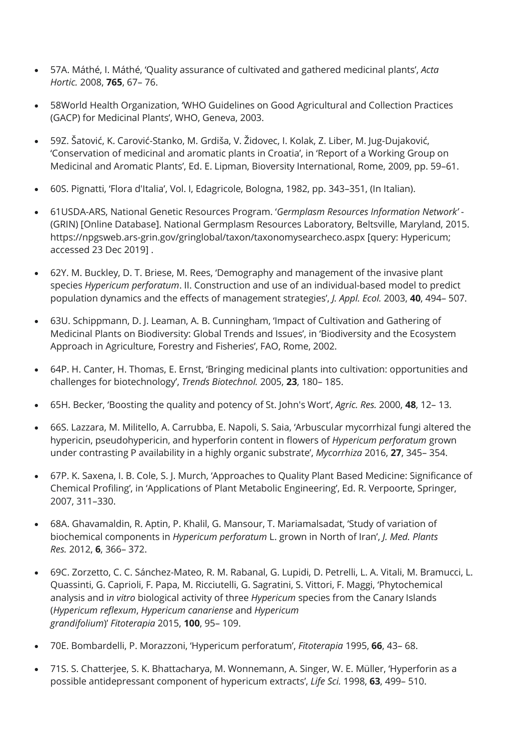- 57A. Máthé, I. Máthé, 'Quality assurance of cultivated and gathered medicinal plants', *Acta Hortic.* 2008, **765**, 67– 76.
- 58World Health Organization, 'WHO Guidelines on Good Agricultural and Collection Practices (GACP) for Medicinal Plants', WHO, Geneva, 2003.
- 59Z. Šatović, K. Carović-Stanko, M. Grdiša, V. Židovec, I. Kolak, Z. Liber, M. Jug-Dujaković, 'Conservation of medicinal and aromatic plants in Croatia', in 'Report of a Working Group on Medicinal and Aromatic Plants', Ed. E. Lipman, Bioversity International, Rome, 2009, pp. 59–61.
- 60S. Pignatti, 'Flora d'Italia', Vol. I, Edagricole, Bologna, 1982, pp. 343–351, (In Italian).
- 61USDA-ARS, National Genetic Resources Program. '*Germplasm Resources Information Network'* (GRIN) [Online Database]. National Germplasm Resources Laboratory, Beltsville, Maryland, 2015. https://npgsweb.ars-grin.gov/gringlobal/taxon/taxonomysearcheco.aspx [query: Hypericum; accessed 23 Dec 2019] .
- 62Y. M. Buckley, D. T. Briese, M. Rees, 'Demography and management of the invasive plant species *Hypericum perforatum*. II. Construction and use of an individual-based model to predict population dynamics and the effects of management strategies', *J. Appl. Ecol.* 2003, **40**, 494– 507.
- 63U. Schippmann, D. J. Leaman, A. B. Cunningham, 'Impact of Cultivation and Gathering of Medicinal Plants on Biodiversity: Global Trends and Issues', in 'Biodiversity and the Ecosystem Approach in Agriculture, Forestry and Fisheries', FAO, Rome, 2002.
- 64P. H. Canter, H. Thomas, E. Ernst, 'Bringing medicinal plants into cultivation: opportunities and challenges for biotechnology', *Trends Biotechnol.* 2005, **23**, 180– 185.
- 65H. Becker, 'Boosting the quality and potency of St. John's Wort', *Agric. Res.* 2000, **48**, 12– 13.
- 66S. Lazzara, M. Militello, A. Carrubba, E. Napoli, S. Saia, 'Arbuscular mycorrhizal fungi altered the hypericin, pseudohypericin, and hyperforin content in flowers of *Hypericum perforatum* grown under contrasting P availability in a highly organic substrate', *Mycorrhiza* 2016, **27**, 345– 354.
- 67P. K. Saxena, I. B. Cole, S. J. Murch, 'Approaches to Quality Plant Based Medicine: Significance of Chemical Profiling', in 'Applications of Plant Metabolic Engineering', Ed. R. Verpoorte, Springer, 2007, 311–330.
- 68A. Ghavamaldin, R. Aptin, P. Khalil, G. Mansour, T. Mariamalsadat, 'Study of variation of biochemical components in *Hypericum perforatum* L. grown in North of Iran', *J. Med. Plants Res.* 2012, **6**, 366– 372.
- 69C. Zorzetto, C. C. Sánchez-Mateo, R. M. Rabanal, G. Lupidi, D. Petrelli, L. A. Vitali, M. Bramucci, L. Quassinti, G. Caprioli, F. Papa, M. Ricciutelli, G. Sagratini, S. Vittori, F. Maggi, 'Phytochemical analysis and i*n vitro* biological activity of three *Hypericum* species from the Canary Islands (*Hypericum reflexum*, *Hypericum canariense* and *Hypericum grandifolium*)' *Fitoterapia* 2015, **100**, 95– 109.
- 70E. Bombardelli, P. Morazzoni, 'Hypericum perforatum', *Fitoterapia* 1995, **66**, 43– 68.
- 71S. S. Chatterjee, S. K. Bhattacharya, M. Wonnemann, A. Singer, W. E. Müller, 'Hyperforin as a possible antidepressant component of hypericum extracts', *Life Sci.* 1998, **63**, 499– 510.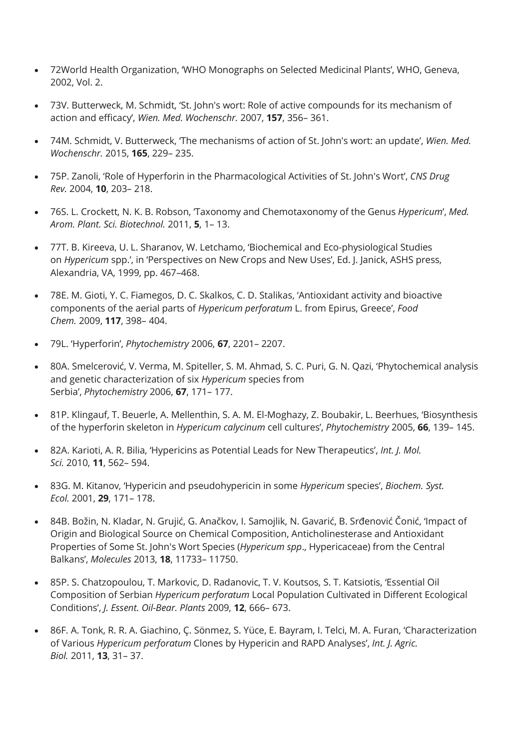- 72World Health Organization, 'WHO Monographs on Selected Medicinal Plants', WHO, Geneva, 2002, Vol. 2.
- 73V. Butterweck, M. Schmidt, 'St. John's wort: Role of active compounds for its mechanism of action and efficacy', *Wien. Med. Wochenschr.* 2007, **157**, 356– 361.
- 74M. Schmidt, V. Butterweck, 'The mechanisms of action of St. John's wort: an update', *Wien. Med. Wochenschr.* 2015, **165**, 229– 235.
- 75P. Zanoli, 'Role of Hyperforin in the Pharmacological Activities of St. John's Wort', *CNS Drug Rev.* 2004, **10**, 203– 218.
- 76S. L. Crockett, N. K. B. Robson, 'Taxonomy and Chemotaxonomy of the Genus *Hypericum*', *Med. Arom. Plant. Sci. Biotechnol.* 2011, **5**, 1– 13.
- 77T. B. Kireeva, U. L. Sharanov, W. Letchamo, 'Biochemical and Eco-physiological Studies on *Hypericum* spp.', in 'Perspectives on New Crops and New Uses', Ed. J. Janick, ASHS press, Alexandria, VA, 1999, pp. 467–468.
- 78E. M. Gioti, Y. C. Fiamegos, D. C. Skalkos, C. D. Stalikas, 'Antioxidant activity and bioactive components of the aerial parts of *Hypericum perforatum* L. from Epirus, Greece', *Food Chem.* 2009, **117**, 398– 404.
- 79L. 'Hyperforin', *Phytochemistry* 2006, **67**, 2201– 2207.
- 80A. Smelcerović, V. Verma, M. Spiteller, S. M. Ahmad, S. C. Puri, G. N. Qazi, 'Phytochemical analysis and genetic characterization of six *Hypericum* species from Serbia', *Phytochemistry* 2006, **67**, 171– 177.
- 81P. Klingauf, T. Beuerle, A. Mellenthin, S. A. M. El-Moghazy, Z. Boubakir, L. Beerhues, 'Biosynthesis of the hyperforin skeleton in *Hypericum calycinum* cell cultures', *Phytochemistry* 2005, **66**, 139– 145.
- 82A. Karioti, A. R. Bilia, 'Hypericins as Potential Leads for New Therapeutics', *Int. J. Mol. Sci.* 2010, **11**, 562– 594.
- 83G. M. Kitanov, 'Hypericin and pseudohypericin in some *Hypericum* species', *Biochem. Syst. Ecol.* 2001, **29**, 171– 178.
- 84B. Božin, N. Kladar, N. Grujić, G. Anačkov, I. Samojlik, N. Gavarić, B. Srđenović Čonić, 'Impact of Origin and Biological Source on Chemical Composition, Anticholinesterase and Antioxidant Properties of Some St. John's Wort Species (*Hypericum spp*., Hypericaceae) from the Central Balkans', *Molecules* 2013, **18**, 11733– 11750.
- 85P. S. Chatzopoulou, T. Markovic, D. Radanovic, T. V. Koutsos, S. T. Katsiotis, 'Essential Oil Composition of Serbian *Hypericum perforatum* Local Population Cultivated in Different Ecological Conditions', *J. Essent. Oil-Bear. Plants* 2009, **12**, 666– 673.
- 86F. A. Tonk, R. R. A. Giachino, Ç. Sönmez, S. Yüce, E. Bayram, I. Telci, M. A. Furan, 'Characterization of Various *Hypericum perforatum* Clones by Hypericin and RAPD Analyses', *Int. J. Agric. Biol.* 2011, **13**, 31– 37.